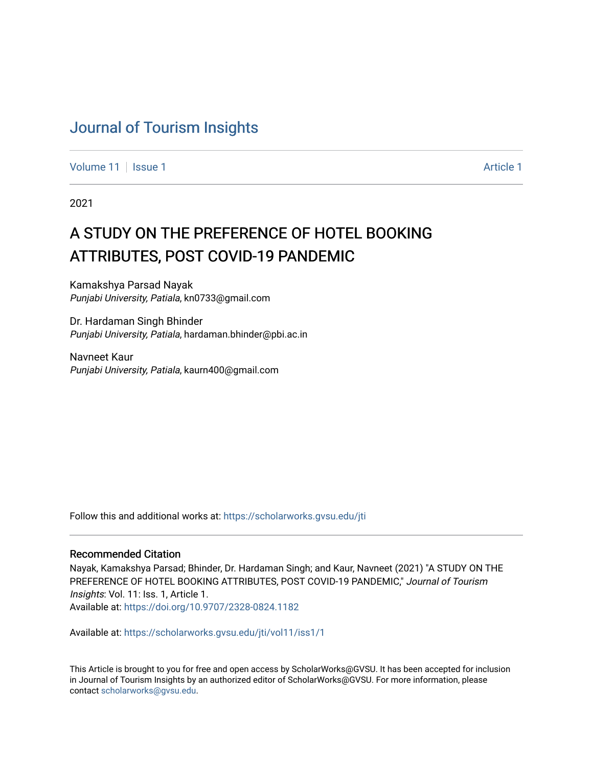## [Journal of Tourism Insights](https://scholarworks.gvsu.edu/jti)

[Volume 11](https://scholarworks.gvsu.edu/jti/vol11) | [Issue 1](https://scholarworks.gvsu.edu/jti/vol11/iss1) Article 1

2021

# A STUDY ON THE PREFERENCE OF HOTEL BOOKING ATTRIBUTES, POST COVID-19 PANDEMIC

Kamakshya Parsad Nayak Punjabi University, Patiala, kn0733@gmail.com

Dr. Hardaman Singh Bhinder Punjabi University, Patiala, hardaman.bhinder@pbi.ac.in

Navneet Kaur Punjabi University, Patiala, kaurn400@gmail.com

Follow this and additional works at: [https://scholarworks.gvsu.edu/jti](https://scholarworks.gvsu.edu/jti?utm_source=scholarworks.gvsu.edu%2Fjti%2Fvol11%2Fiss1%2F1&utm_medium=PDF&utm_campaign=PDFCoverPages) 

#### Recommended Citation

Nayak, Kamakshya Parsad; Bhinder, Dr. Hardaman Singh; and Kaur, Navneet (2021) "A STUDY ON THE PREFERENCE OF HOTEL BOOKING ATTRIBUTES, POST COVID-19 PANDEMIC," Journal of Tourism Insights: Vol. 11: Iss. 1, Article 1. Available at:<https://doi.org/10.9707/2328-0824.1182>

Available at: [https://scholarworks.gvsu.edu/jti/vol11/iss1/1](https://scholarworks.gvsu.edu/jti/vol11/iss1/1?utm_source=scholarworks.gvsu.edu%2Fjti%2Fvol11%2Fiss1%2F1&utm_medium=PDF&utm_campaign=PDFCoverPages) 

This Article is brought to you for free and open access by ScholarWorks@GVSU. It has been accepted for inclusion in Journal of Tourism Insights by an authorized editor of ScholarWorks@GVSU. For more information, please contact [scholarworks@gvsu.edu.](mailto:scholarworks@gvsu.edu)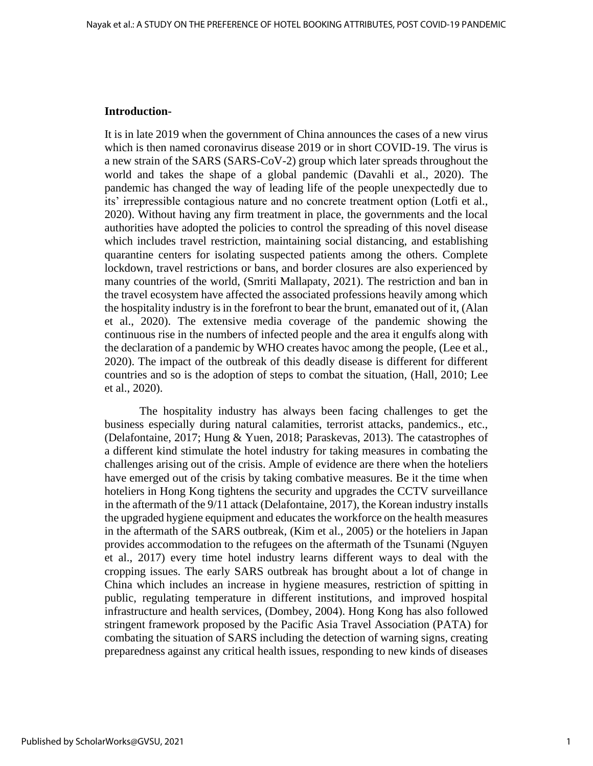#### **Introduction-**

It is in late 2019 when the government of China announces the cases of a new virus which is then named coronavirus disease 2019 or in short COVID-19. The virus is a new strain of the SARS (SARS-CoV-2) group which later spreads throughout the world and takes the shape of a global pandemic (Davahli et al., 2020). The pandemic has changed the way of leading life of the people unexpectedly due to its' irrepressible contagious nature and no concrete treatment option (Lotfi et al., 2020). Without having any firm treatment in place, the governments and the local authorities have adopted the policies to control the spreading of this novel disease which includes travel restriction, maintaining social distancing, and establishing quarantine centers for isolating suspected patients among the others. Complete lockdown, travel restrictions or bans, and border closures are also experienced by many countries of the world, (Smriti Mallapaty, 2021). The restriction and ban in the travel ecosystem have affected the associated professions heavily among which the hospitality industry is in the forefront to bear the brunt, emanated out of it, (Alan et al., 2020). The extensive media coverage of the pandemic showing the continuous rise in the numbers of infected people and the area it engulfs along with the declaration of a pandemic by WHO creates havoc among the people, (Lee et al., 2020). The impact of the outbreak of this deadly disease is different for different countries and so is the adoption of steps to combat the situation, (Hall, 2010; Lee et al., 2020).

 The hospitality industry has always been facing challenges to get the business especially during natural calamities, terrorist attacks, pandemics., etc., (Delafontaine, 2017; Hung & Yuen, 2018; Paraskevas, 2013). The catastrophes of a different kind stimulate the hotel industry for taking measures in combating the challenges arising out of the crisis. Ample of evidence are there when the hoteliers have emerged out of the crisis by taking combative measures. Be it the time when hoteliers in Hong Kong tightens the security and upgrades the CCTV surveillance in the aftermath of the 9/11 attack (Delafontaine, 2017), the Korean industry installs the upgraded hygiene equipment and educates the workforce on the health measures in the aftermath of the SARS outbreak, (Kim et al., 2005) or the hoteliers in Japan provides accommodation to the refugees on the aftermath of the Tsunami (Nguyen et al., 2017) every time hotel industry learns different ways to deal with the cropping issues. The early SARS outbreak has brought about a lot of change in China which includes an increase in hygiene measures, restriction of spitting in public, regulating temperature in different institutions, and improved hospital infrastructure and health services, (Dombey, 2004). Hong Kong has also followed stringent framework proposed by the Pacific Asia Travel Association (PATA) for combating the situation of SARS including the detection of warning signs, creating preparedness against any critical health issues, responding to new kinds of diseases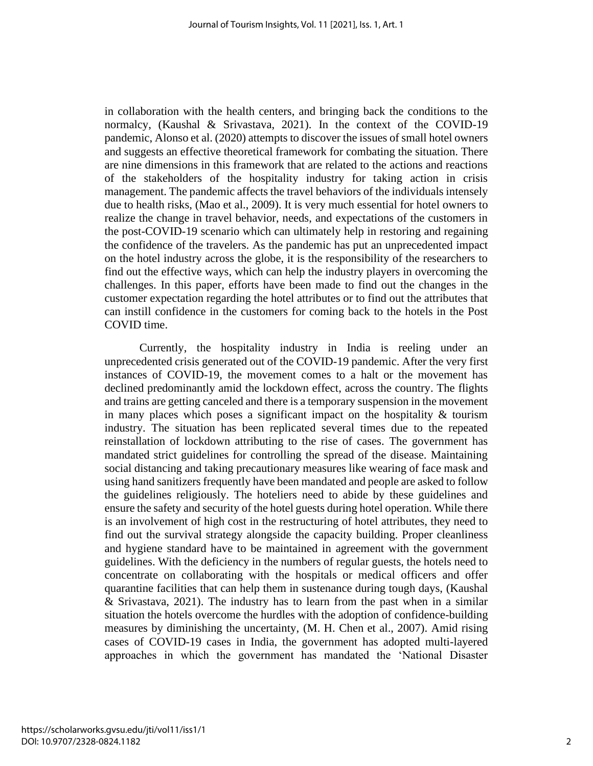in collaboration with the health centers, and bringing back the conditions to the normalcy, (Kaushal & Srivastava, 2021). In the context of the COVID-19 pandemic, Alonso et al. (2020) attempts to discover the issues of small hotel owners and suggests an effective theoretical framework for combating the situation. There are nine dimensions in this framework that are related to the actions and reactions of the stakeholders of the hospitality industry for taking action in crisis management. The pandemic affects the travel behaviors of the individuals intensely due to health risks, (Mao et al., 2009). It is very much essential for hotel owners to realize the change in travel behavior, needs, and expectations of the customers in the post-COVID-19 scenario which can ultimately help in restoring and regaining the confidence of the travelers. As the pandemic has put an unprecedented impact on the hotel industry across the globe, it is the responsibility of the researchers to find out the effective ways, which can help the industry players in overcoming the challenges. In this paper, efforts have been made to find out the changes in the customer expectation regarding the hotel attributes or to find out the attributes that can instill confidence in the customers for coming back to the hotels in the Post COVID time.

Currently, the hospitality industry in India is reeling under an unprecedented crisis generated out of the COVID-19 pandemic. After the very first instances of COVID-19, the movement comes to a halt or the movement has declined predominantly amid the lockdown effect, across the country. The flights and trains are getting canceled and there is a temporary suspension in the movement in many places which poses a significant impact on the hospitality  $\&$  tourism industry. The situation has been replicated several times due to the repeated reinstallation of lockdown attributing to the rise of cases. The government has mandated strict guidelines for controlling the spread of the disease. Maintaining social distancing and taking precautionary measures like wearing of face mask and using hand sanitizers frequently have been mandated and people are asked to follow the guidelines religiously. The hoteliers need to abide by these guidelines and ensure the safety and security of the hotel guests during hotel operation. While there is an involvement of high cost in the restructuring of hotel attributes, they need to find out the survival strategy alongside the capacity building. Proper cleanliness and hygiene standard have to be maintained in agreement with the government guidelines. With the deficiency in the numbers of regular guests, the hotels need to concentrate on collaborating with the hospitals or medical officers and offer quarantine facilities that can help them in sustenance during tough days, (Kaushal & Srivastava, 2021). The industry has to learn from the past when in a similar situation the hotels overcome the hurdles with the adoption of confidence-building measures by diminishing the uncertainty, (M. H. Chen et al., 2007). Amid rising cases of COVID-19 cases in India, the government has adopted multi-layered approaches in which the government has mandated the 'National Disaster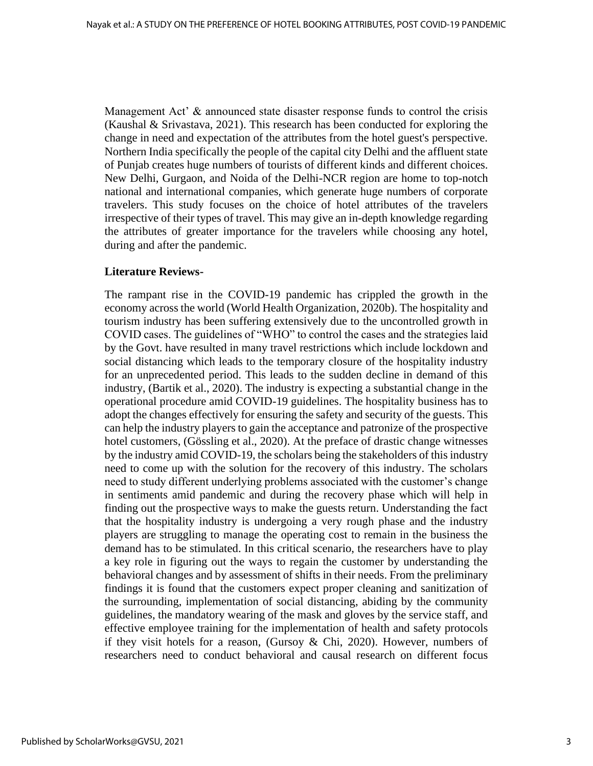Management Act' & announced state disaster response funds to control the crisis (Kaushal & Srivastava, 2021). This research has been conducted for exploring the change in need and expectation of the attributes from the hotel guest's perspective. Northern India specifically the people of the capital city Delhi and the affluent state of Punjab creates huge numbers of tourists of different kinds and different choices. New Delhi, Gurgaon, and Noida of the Delhi-NCR region are home to top-notch national and international companies, which generate huge numbers of corporate travelers. This study focuses on the choice of hotel attributes of the travelers irrespective of their types of travel. This may give an in-depth knowledge regarding the attributes of greater importance for the travelers while choosing any hotel, during and after the pandemic.

#### **Literature Reviews-**

The rampant rise in the COVID-19 pandemic has crippled the growth in the economy across the world (World Health Organization, 2020b). The hospitality and tourism industry has been suffering extensively due to the uncontrolled growth in COVID cases. The guidelines of "WHO" to control the cases and the strategies laid by the Govt. have resulted in many travel restrictions which include lockdown and social distancing which leads to the temporary closure of the hospitality industry for an unprecedented period. This leads to the sudden decline in demand of this industry, (Bartik et al., 2020). The industry is expecting a substantial change in the operational procedure amid COVID-19 guidelines. The hospitality business has to adopt the changes effectively for ensuring the safety and security of the guests. This can help the industry players to gain the acceptance and patronize of the prospective hotel customers, (Gössling et al., 2020). At the preface of drastic change witnesses by the industry amid COVID-19, the scholars being the stakeholders of this industry need to come up with the solution for the recovery of this industry. The scholars need to study different underlying problems associated with the customer's change in sentiments amid pandemic and during the recovery phase which will help in finding out the prospective ways to make the guests return. Understanding the fact that the hospitality industry is undergoing a very rough phase and the industry players are struggling to manage the operating cost to remain in the business the demand has to be stimulated. In this critical scenario, the researchers have to play a key role in figuring out the ways to regain the customer by understanding the behavioral changes and by assessment of shifts in their needs. From the preliminary findings it is found that the customers expect proper cleaning and sanitization of the surrounding, implementation of social distancing, abiding by the community guidelines, the mandatory wearing of the mask and gloves by the service staff, and effective employee training for the implementation of health and safety protocols if they visit hotels for a reason, (Gursoy & Chi, 2020). However, numbers of researchers need to conduct behavioral and causal research on different focus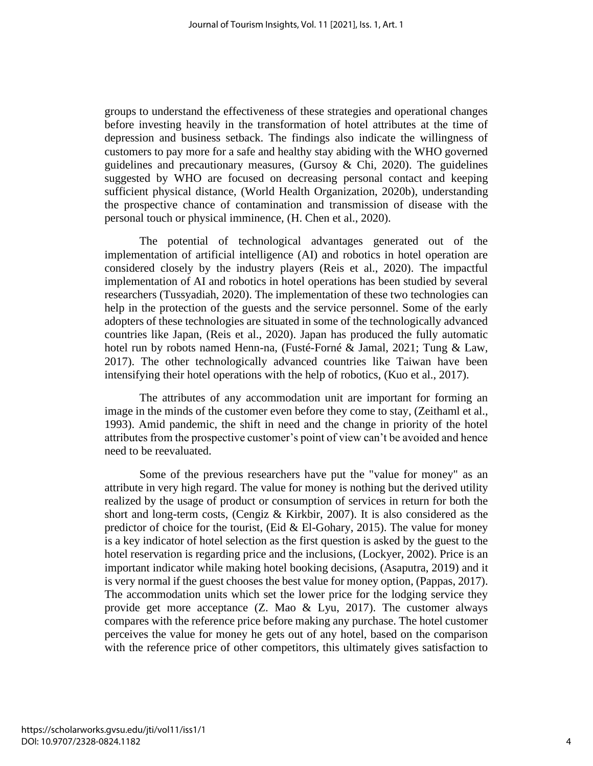groups to understand the effectiveness of these strategies and operational changes before investing heavily in the transformation of hotel attributes at the time of depression and business setback. The findings also indicate the willingness of customers to pay more for a safe and healthy stay abiding with the WHO governed guidelines and precautionary measures, (Gursoy & Chi, 2020). The guidelines suggested by WHO are focused on decreasing personal contact and keeping sufficient physical distance, (World Health Organization, 2020b), understanding the prospective chance of contamination and transmission of disease with the personal touch or physical imminence, (H. Chen et al., 2020).

The potential of technological advantages generated out of the implementation of artificial intelligence (AI) and robotics in hotel operation are considered closely by the industry players (Reis et al., 2020). The impactful implementation of AI and robotics in hotel operations has been studied by several researchers (Tussyadiah, 2020). The implementation of these two technologies can help in the protection of the guests and the service personnel. Some of the early adopters of these technologies are situated in some of the technologically advanced countries like Japan, (Reis et al., 2020). Japan has produced the fully automatic hotel run by robots named Henn-na, (Fusté-Forné & Jamal, 2021; Tung & Law, 2017). The other technologically advanced countries like Taiwan have been intensifying their hotel operations with the help of robotics, (Kuo et al., 2017).

The attributes of any accommodation unit are important for forming an image in the minds of the customer even before they come to stay, (Zeithaml et al., 1993). Amid pandemic, the shift in need and the change in priority of the hotel attributes from the prospective customer's point of view can't be avoided and hence need to be reevaluated.

Some of the previous researchers have put the "value for money" as an attribute in very high regard. The value for money is nothing but the derived utility realized by the usage of product or consumption of services in return for both the short and long-term costs, (Cengiz & Kirkbir, 2007). It is also considered as the predictor of choice for the tourist, (Eid  $&$  El-Gohary, 2015). The value for money is a key indicator of hotel selection as the first question is asked by the guest to the hotel reservation is regarding price and the inclusions, (Lockyer, 2002). Price is an important indicator while making hotel booking decisions, (Asaputra, 2019) and it is very normal if the guest chooses the best value for money option, (Pappas, 2017). The accommodation units which set the lower price for the lodging service they provide get more acceptance  $(Z.$  Mao  $\&$  Lyu, 2017). The customer always compares with the reference price before making any purchase. The hotel customer perceives the value for money he gets out of any hotel, based on the comparison with the reference price of other competitors, this ultimately gives satisfaction to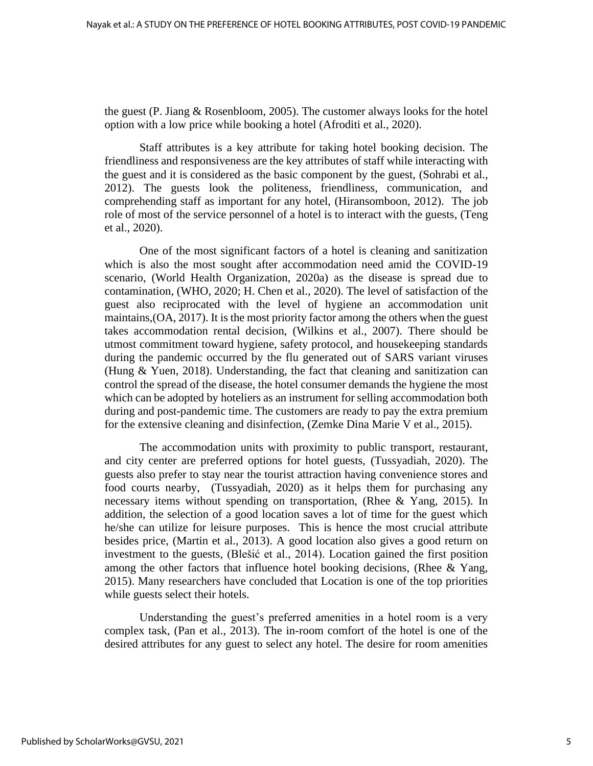the guest (P. Jiang & Rosenbloom, 2005). The customer always looks for the hotel option with a low price while booking a hotel (Afroditi et al., 2020).

Staff attributes is a key attribute for taking hotel booking decision. The friendliness and responsiveness are the key attributes of staff while interacting with the guest and it is considered as the basic component by the guest, (Sohrabi et al., 2012). The guests look the politeness, friendliness, communication, and comprehending staff as important for any hotel, (Hiransomboon, 2012). The job role of most of the service personnel of a hotel is to interact with the guests, (Teng et al., 2020).

One of the most significant factors of a hotel is cleaning and sanitization which is also the most sought after accommodation need amid the COVID-19 scenario, (World Health Organization, 2020a) as the disease is spread due to contamination, (WHO, 2020; H. Chen et al., 2020). The level of satisfaction of the guest also reciprocated with the level of hygiene an accommodation unit maintains,(OA, 2017). It is the most priority factor among the others when the guest takes accommodation rental decision, (Wilkins et al., 2007). There should be utmost commitment toward hygiene, safety protocol, and housekeeping standards during the pandemic occurred by the flu generated out of SARS variant viruses (Hung & Yuen, 2018). Understanding, the fact that cleaning and sanitization can control the spread of the disease, the hotel consumer demands the hygiene the most which can be adopted by hoteliers as an instrument for selling accommodation both during and post-pandemic time. The customers are ready to pay the extra premium for the extensive cleaning and disinfection, (Zemke Dina Marie V et al., 2015).

The accommodation units with proximity to public transport, restaurant, and city center are preferred options for hotel guests, (Tussyadiah, 2020). The guests also prefer to stay near the tourist attraction having convenience stores and food courts nearby, (Tussyadiah, 2020) as it helps them for purchasing any necessary items without spending on transportation, (Rhee & Yang, 2015). In addition, the selection of a good location saves a lot of time for the guest which he/she can utilize for leisure purposes. This is hence the most crucial attribute besides price, (Martin et al., 2013). A good location also gives a good return on investment to the guests, (Blešić et al., 2014). Location gained the first position among the other factors that influence hotel booking decisions, (Rhee & Yang, 2015). Many researchers have concluded that Location is one of the top priorities while guests select their hotels.

Understanding the guest's preferred amenities in a hotel room is a very complex task, (Pan et al., 2013). The in-room comfort of the hotel is one of the desired attributes for any guest to select any hotel. The desire for room amenities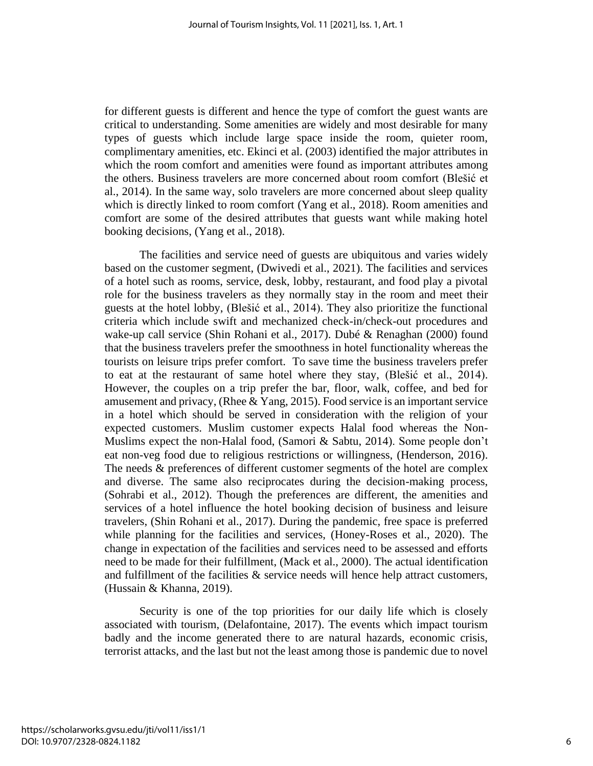for different guests is different and hence the type of comfort the guest wants are critical to understanding. Some amenities are widely and most desirable for many types of guests which include large space inside the room, quieter room, complimentary amenities, etc. Ekinci et al. (2003) identified the major attributes in which the room comfort and amenities were found as important attributes among the others. Business travelers are more concerned about room comfort (Blešić et al., 2014). In the same way, solo travelers are more concerned about sleep quality which is directly linked to room comfort (Yang et al., 2018). Room amenities and comfort are some of the desired attributes that guests want while making hotel booking decisions, (Yang et al., 2018).

The facilities and service need of guests are ubiquitous and varies widely based on the customer segment, (Dwivedi et al., 2021). The facilities and services of a hotel such as rooms, service, desk, lobby, restaurant, and food play a pivotal role for the business travelers as they normally stay in the room and meet their guests at the hotel lobby, (Blešić et al., 2014). They also prioritize the functional criteria which include swift and mechanized check-in/check-out procedures and wake-up call service (Shin Rohani et al., 2017). Dubé & Renaghan (2000) found that the business travelers prefer the smoothness in hotel functionality whereas the tourists on leisure trips prefer comfort. To save time the business travelers prefer to eat at the restaurant of same hotel where they stay, (Blešić et al., 2014). However, the couples on a trip prefer the bar, floor, walk, coffee, and bed for amusement and privacy, (Rhee & Yang, 2015). Food service is an important service in a hotel which should be served in consideration with the religion of your expected customers. Muslim customer expects Halal food whereas the Non-Muslims expect the non-Halal food, (Samori & Sabtu, 2014). Some people don't eat non-veg food due to religious restrictions or willingness, (Henderson, 2016). The needs & preferences of different customer segments of the hotel are complex and diverse. The same also reciprocates during the decision-making process, (Sohrabi et al., 2012). Though the preferences are different, the amenities and services of a hotel influence the hotel booking decision of business and leisure travelers, (Shin Rohani et al., 2017). During the pandemic, free space is preferred while planning for the facilities and services, (Honey-Roses et al., 2020). The change in expectation of the facilities and services need to be assessed and efforts need to be made for their fulfillment, (Mack et al., 2000). The actual identification and fulfillment of the facilities  $\&$  service needs will hence help attract customers, (Hussain & Khanna, 2019).

Security is one of the top priorities for our daily life which is closely associated with tourism, (Delafontaine, 2017). The events which impact tourism badly and the income generated there to are natural hazards, economic crisis, terrorist attacks, and the last but not the least among those is pandemic due to novel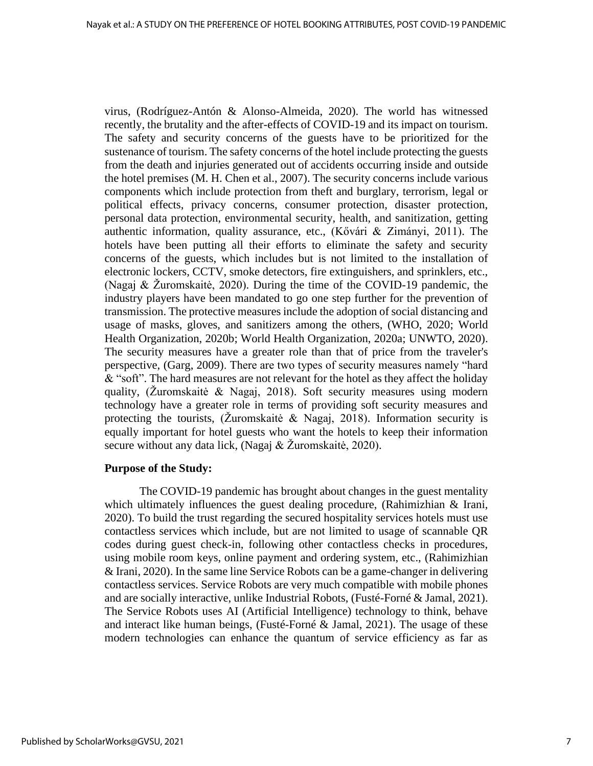virus, (Rodríguez-Antón & Alonso-Almeida, 2020). The world has witnessed recently, the brutality and the after-effects of COVID-19 and its impact on tourism. The safety and security concerns of the guests have to be prioritized for the sustenance of tourism. The safety concerns of the hotel include protecting the guests from the death and injuries generated out of accidents occurring inside and outside the hotel premises (M. H. Chen et al., 2007). The security concerns include various components which include protection from theft and burglary, terrorism, legal or political effects, privacy concerns, consumer protection, disaster protection, personal data protection, environmental security, health, and sanitization, getting authentic information, quality assurance, etc., (Kővári & Zimányi, 2011). The hotels have been putting all their efforts to eliminate the safety and security concerns of the guests, which includes but is not limited to the installation of electronic lockers, CCTV, smoke detectors, fire extinguishers, and sprinklers, etc., (Nagaj & Žuromskaitė, 2020). During the time of the COVID-19 pandemic, the industry players have been mandated to go one step further for the prevention of transmission. The protective measures include the adoption of social distancing and usage of masks, gloves, and sanitizers among the others, (WHO, 2020; World Health Organization, 2020b; World Health Organization, 2020a; UNWTO, 2020). The security measures have a greater role than that of price from the traveler's perspective, (Garg, 2009). There are two types of security measures namely "hard & "soft". The hard measures are not relevant for the hotel as they affect the holiday quality, (Žuromskaitė & Nagaj, 2018). Soft security measures using modern technology have a greater role in terms of providing soft security measures and protecting the tourists, (Žuromskaitė & Nagaj, 2018). Information security is equally important for hotel guests who want the hotels to keep their information secure without any data lick, (Nagaj & Žuromskaitė, 2020).

#### **Purpose of the Study:**

The COVID-19 pandemic has brought about changes in the guest mentality which ultimately influences the guest dealing procedure, (Rahimizhian & Irani, 2020). To build the trust regarding the secured hospitality services hotels must use contactless services which include, but are not limited to usage of scannable QR codes during guest check-in, following other contactless checks in procedures, using mobile room keys, online payment and ordering system, etc., (Rahimizhian & Irani, 2020). In the same line Service Robots can be a game-changer in delivering contactless services. Service Robots are very much compatible with mobile phones and are socially interactive, unlike Industrial Robots, (Fusté-Forné & Jamal, 2021). The Service Robots uses AI (Artificial Intelligence) technology to think, behave and interact like human beings, (Fusté-Forné & Jamal, 2021). The usage of these modern technologies can enhance the quantum of service efficiency as far as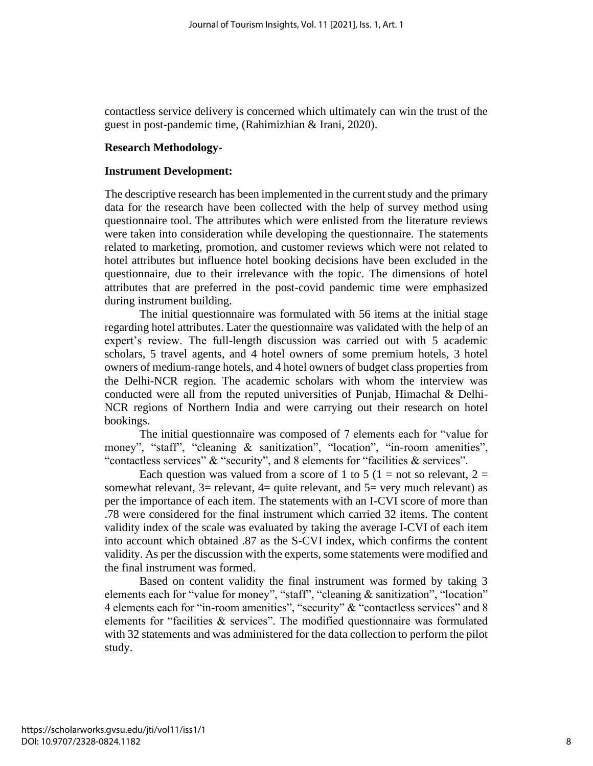contactless service delivery is concerned which ultimately can win the trust of the guest in post-pandemic time, (Rahimizhian & Irani, 2020).

## **Research Methodology-**

## **Instrument Development:**

The descriptive research has been implemented in the current study and the primary data for the research have been collected with the help of survey method using questionnaire tool. The attributes which were enlisted from the literature reviews were taken into consideration while developing the questionnaire. The statements related to marketing, promotion, and customer reviews which were not related to hotel attributes but influence hotel booking decisions have been excluded in the questionnaire, due to their irrelevance with the topic. The dimensions of hotel attributes that are preferred in the post-covid pandemic time were emphasized during instrument building.

The initial questionnaire was formulated with 56 items at the initial stage regarding hotel attributes. Later the questionnaire was validated with the help of an expert's review. The full-length discussion was carried out with 5 academic scholars, 5 travel agents, and 4 hotel owners of some premium hotels, 3 hotel owners of medium-range hotels, and 4 hotel owners of budget class properties from the Delhi-NCR region. The academic scholars with whom the interview was conducted were all from the reputed universities of Punjab, Himachal & Delhi-NCR regions of Northern India and were carrying out their research on hotel bookings.

The initial questionnaire was composed of 7 elements each for "value for money", "staff", "cleaning & sanitization", "location", "in-room amenities", "contactless services" & "security", and 8 elements for "facilities & services".

Each question was valued from a score of 1 to 5 (1 = not so relevant, 2 = somewhat relevant,  $3=$  relevant,  $4=$  quite relevant, and  $5=$  very much relevant) as per the importance of each item. The statements with an I-CVI score of more than .78 were considered for the final instrument which carried 32 items. The content validity index of the scale was evaluated by taking the average I-CVI of each item into account which obtained .87 as the S-CVI index, which confirms the content validity. As per the discussion with the experts, some statements were modified and the final instrument was formed.

Based on content validity the final instrument was formed by taking 3 elements each for "value for money", "staff", "cleaning & sanitization", "location" 4 elements each for "in-room amenities", "security" & "contactless services" and 8 elements for "facilities & services". The modified questionnaire was formulated with 32 statements and was administered for the data collection to perform the pilot study.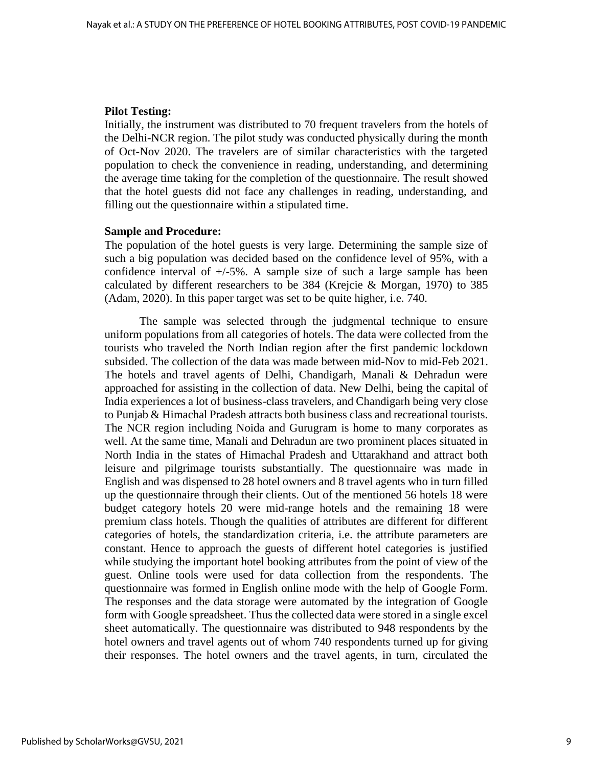#### **Pilot Testing:**

Initially, the instrument was distributed to 70 frequent travelers from the hotels of the Delhi-NCR region. The pilot study was conducted physically during the month of Oct-Nov 2020. The travelers are of similar characteristics with the targeted population to check the convenience in reading, understanding, and determining the average time taking for the completion of the questionnaire. The result showed that the hotel guests did not face any challenges in reading, understanding, and filling out the questionnaire within a stipulated time.

#### **Sample and Procedure:**

The population of the hotel guests is very large. Determining the sample size of such a big population was decided based on the confidence level of 95%, with a confidence interval of  $+/-5\%$ . A sample size of such a large sample has been calculated by different researchers to be 384 (Krejcie & Morgan, 1970) to 385 (Adam, 2020). In this paper target was set to be quite higher, i.e. 740.

The sample was selected through the judgmental technique to ensure uniform populations from all categories of hotels. The data were collected from the tourists who traveled the North Indian region after the first pandemic lockdown subsided. The collection of the data was made between mid-Nov to mid-Feb 2021. The hotels and travel agents of Delhi, Chandigarh, Manali & Dehradun were approached for assisting in the collection of data. New Delhi, being the capital of India experiences a lot of business-class travelers, and Chandigarh being very close to Punjab & Himachal Pradesh attracts both business class and recreational tourists. The NCR region including Noida and Gurugram is home to many corporates as well. At the same time, Manali and Dehradun are two prominent places situated in North India in the states of Himachal Pradesh and Uttarakhand and attract both leisure and pilgrimage tourists substantially. The questionnaire was made in English and was dispensed to 28 hotel owners and 8 travel agents who in turn filled up the questionnaire through their clients. Out of the mentioned 56 hotels 18 were budget category hotels 20 were mid-range hotels and the remaining 18 were premium class hotels. Though the qualities of attributes are different for different categories of hotels, the standardization criteria, i.e. the attribute parameters are constant. Hence to approach the guests of different hotel categories is justified while studying the important hotel booking attributes from the point of view of the guest. Online tools were used for data collection from the respondents. The questionnaire was formed in English online mode with the help of Google Form. The responses and the data storage were automated by the integration of Google form with Google spreadsheet. Thus the collected data were stored in a single excel sheet automatically. The questionnaire was distributed to 948 respondents by the hotel owners and travel agents out of whom 740 respondents turned up for giving their responses. The hotel owners and the travel agents, in turn, circulated the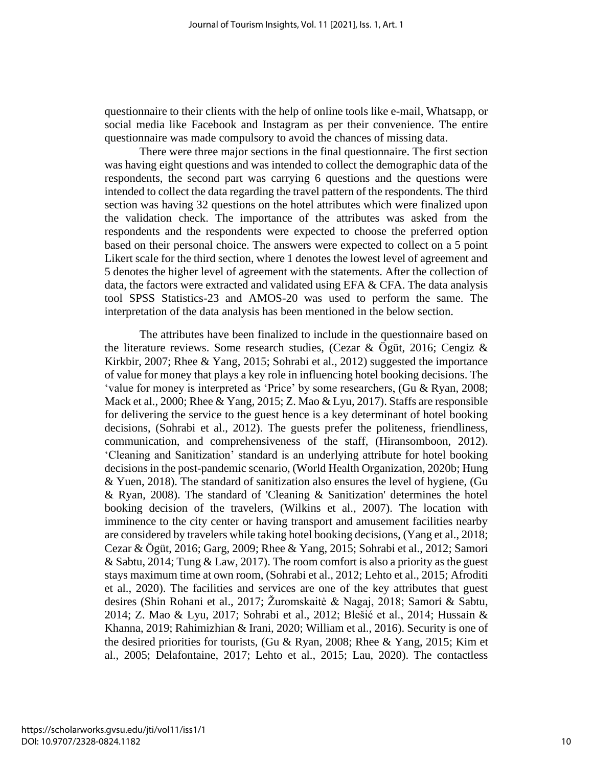questionnaire to their clients with the help of online tools like e-mail, Whatsapp, or social media like Facebook and Instagram as per their convenience. The entire questionnaire was made compulsory to avoid the chances of missing data.

There were three major sections in the final questionnaire. The first section was having eight questions and was intended to collect the demographic data of the respondents, the second part was carrying 6 questions and the questions were intended to collect the data regarding the travel pattern of the respondents. The third section was having 32 questions on the hotel attributes which were finalized upon the validation check. The importance of the attributes was asked from the respondents and the respondents were expected to choose the preferred option based on their personal choice. The answers were expected to collect on a 5 point Likert scale for the third section, where 1 denotes the lowest level of agreement and 5 denotes the higher level of agreement with the statements. After the collection of data, the factors were extracted and validated using EFA & CFA. The data analysis tool SPSS Statistics-23 and AMOS-20 was used to perform the same. The interpretation of the data analysis has been mentioned in the below section.

The attributes have been finalized to include in the questionnaire based on the literature reviews. Some research studies, (Cezar & Ögüt, 2016; Cengiz & Kirkbir, 2007; Rhee & Yang, 2015; Sohrabi et al., 2012) suggested the importance of value for money that plays a key role in influencing hotel booking decisions. The 'value for money is interpreted as 'Price' by some researchers, (Gu & Ryan, 2008; Mack et al., 2000; Rhee & Yang, 2015; Z. Mao & Lyu, 2017). Staffs are responsible for delivering the service to the guest hence is a key determinant of hotel booking decisions, (Sohrabi et al., 2012). The guests prefer the politeness, friendliness, communication, and comprehensiveness of the staff, (Hiransomboon, 2012). 'Cleaning and Sanitization' standard is an underlying attribute for hotel booking decisions in the post-pandemic scenario, (World Health Organization, 2020b; Hung & Yuen, 2018). The standard of sanitization also ensures the level of hygiene, (Gu & Ryan, 2008). The standard of 'Cleaning & Sanitization' determines the hotel booking decision of the travelers, (Wilkins et al., 2007). The location with imminence to the city center or having transport and amusement facilities nearby are considered by travelers while taking hotel booking decisions, (Yang et al., 2018; Cezar & Ögüt, 2016; Garg, 2009; Rhee & Yang, 2015; Sohrabi et al., 2012; Samori & Sabtu, 2014; Tung & Law, 2017). The room comfort is also a priority as the guest stays maximum time at own room, (Sohrabi et al., 2012; Lehto et al., 2015; Afroditi et al., 2020). The facilities and services are one of the key attributes that guest desires (Shin Rohani et al., 2017; Žuromskaitė & Nagaj, 2018; Samori & Sabtu, 2014; Z. Mao & Lyu, 2017; Sohrabi et al., 2012; Blešić et al., 2014; Hussain & Khanna, 2019; Rahimizhian & Irani, 2020; William et al., 2016). Security is one of the desired priorities for tourists, (Gu & Ryan, 2008; Rhee & Yang, 2015; Kim et al., 2005; Delafontaine, 2017; Lehto et al., 2015; Lau, 2020). The contactless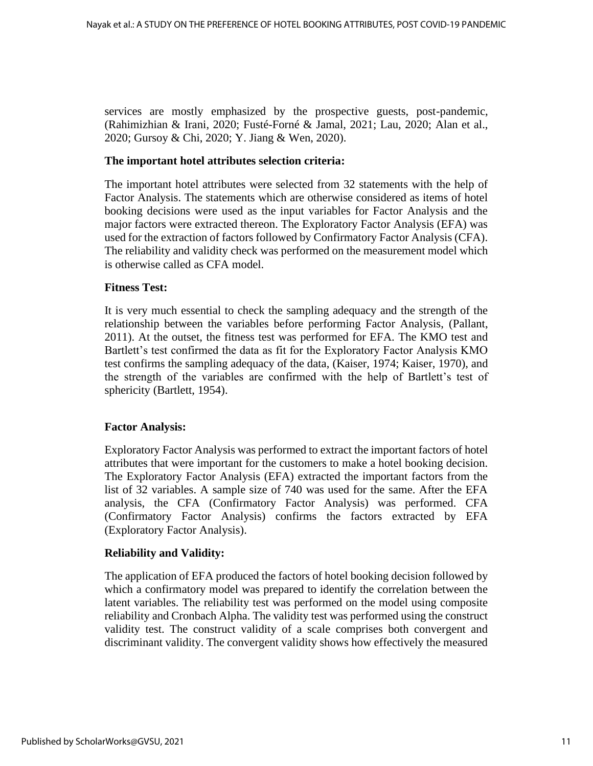services are mostly emphasized by the prospective guests, post-pandemic, (Rahimizhian & Irani, 2020; Fusté-Forné & Jamal, 2021; Lau, 2020; Alan et al., 2020; Gursoy & Chi, 2020; Y. Jiang & Wen, 2020).

#### **The important hotel attributes selection criteria:**

The important hotel attributes were selected from 32 statements with the help of Factor Analysis. The statements which are otherwise considered as items of hotel booking decisions were used as the input variables for Factor Analysis and the major factors were extracted thereon. The Exploratory Factor Analysis (EFA) was used for the extraction of factors followed by Confirmatory Factor Analysis (CFA). The reliability and validity check was performed on the measurement model which is otherwise called as CFA model.

## **Fitness Test:**

It is very much essential to check the sampling adequacy and the strength of the relationship between the variables before performing Factor Analysis, (Pallant, 2011). At the outset, the fitness test was performed for EFA. The KMO test and Bartlett's test confirmed the data as fit for the Exploratory Factor Analysis KMO test confirms the sampling adequacy of the data, (Kaiser, 1974; Kaiser, 1970), and the strength of the variables are confirmed with the help of Bartlett's test of sphericity (Bartlett, 1954).

#### **Factor Analysis:**

Exploratory Factor Analysis was performed to extract the important factors of hotel attributes that were important for the customers to make a hotel booking decision. The Exploratory Factor Analysis (EFA) extracted the important factors from the list of 32 variables. A sample size of 740 was used for the same. After the EFA analysis, the CFA (Confirmatory Factor Analysis) was performed. CFA (Confirmatory Factor Analysis) confirms the factors extracted by EFA (Exploratory Factor Analysis).

#### **Reliability and Validity:**

The application of EFA produced the factors of hotel booking decision followed by which a confirmatory model was prepared to identify the correlation between the latent variables. The reliability test was performed on the model using composite reliability and Cronbach Alpha. The validity test was performed using the construct validity test. The construct validity of a scale comprises both convergent and discriminant validity. The convergent validity shows how effectively the measured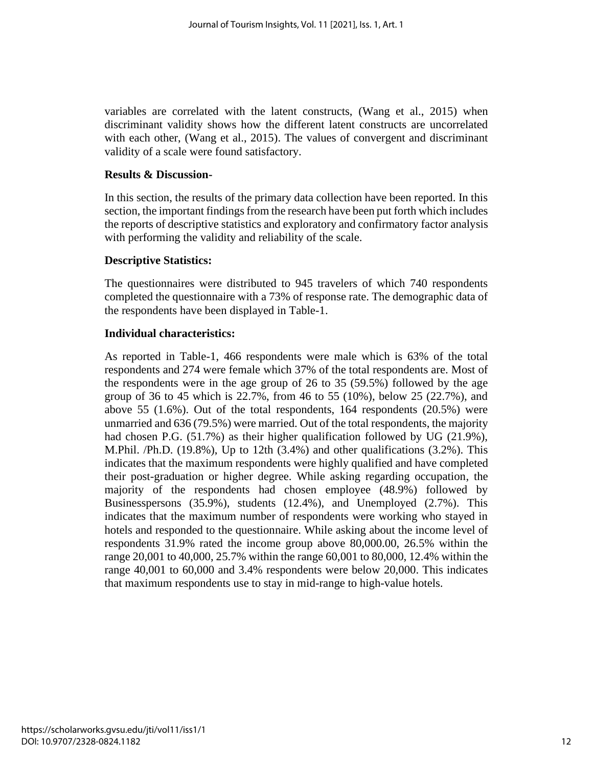variables are correlated with the latent constructs, (Wang et al., 2015) when discriminant validity shows how the different latent constructs are uncorrelated with each other, (Wang et al., 2015). The values of convergent and discriminant validity of a scale were found satisfactory.

## **Results & Discussion-**

In this section, the results of the primary data collection have been reported. In this section, the important findings from the research have been put forth which includes the reports of descriptive statistics and exploratory and confirmatory factor analysis with performing the validity and reliability of the scale.

## **Descriptive Statistics:**

The questionnaires were distributed to 945 travelers of which 740 respondents completed the questionnaire with a 73% of response rate. The demographic data of the respondents have been displayed in Table-1.

## **Individual characteristics:**

As reported in Table-1, 466 respondents were male which is 63% of the total respondents and 274 were female which 37% of the total respondents are. Most of the respondents were in the age group of 26 to 35 (59.5%) followed by the age group of 36 to 45 which is 22.7%, from 46 to 55 (10%), below 25 (22.7%), and above 55 (1.6%). Out of the total respondents, 164 respondents (20.5%) were unmarried and 636 (79.5%) were married. Out of the total respondents, the majority had chosen P.G. (51.7%) as their higher qualification followed by UG (21.9%), M.Phil. /Ph.D. (19.8%), Up to 12th (3.4%) and other qualifications (3.2%). This indicates that the maximum respondents were highly qualified and have completed their post-graduation or higher degree. While asking regarding occupation, the majority of the respondents had chosen employee (48.9%) followed by Businesspersons (35.9%), students (12.4%), and Unemployed (2.7%). This indicates that the maximum number of respondents were working who stayed in hotels and responded to the questionnaire. While asking about the income level of respondents 31.9% rated the income group above 80,000.00, 26.5% within the range 20,001 to 40,000, 25.7% within the range 60,001 to 80,000, 12.4% within the range 40,001 to 60,000 and 3.4% respondents were below 20,000. This indicates that maximum respondents use to stay in mid-range to high-value hotels.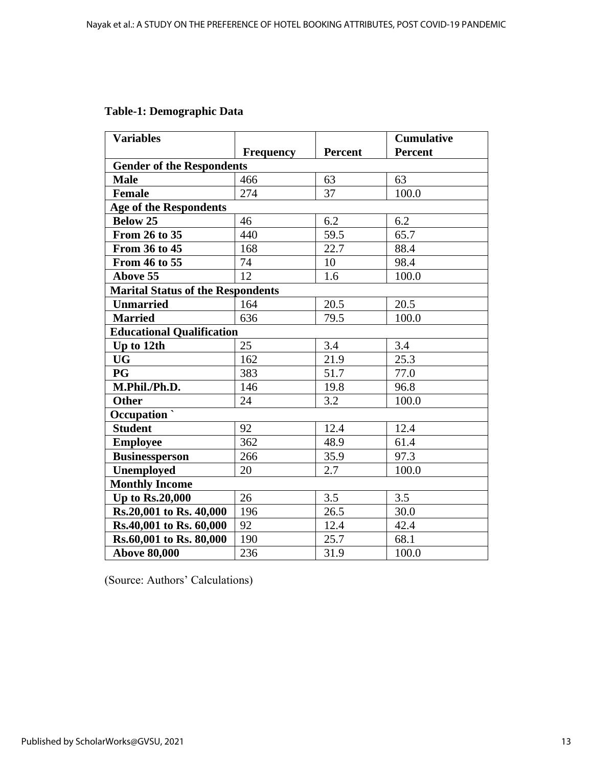| <b>Table-1: Demographic Data</b> |
|----------------------------------|
|----------------------------------|

| <b>Variables</b>                         |                                  |                | <b>Cumulative</b> |  |  |  |  |
|------------------------------------------|----------------------------------|----------------|-------------------|--|--|--|--|
|                                          | <b>Frequency</b>                 | <b>Percent</b> | Percent           |  |  |  |  |
|                                          | <b>Gender of the Respondents</b> |                |                   |  |  |  |  |
| <b>Male</b>                              | 466                              | 63             | 63                |  |  |  |  |
| <b>Female</b>                            | 274                              | 37             | 100.0             |  |  |  |  |
| <b>Age of the Respondents</b>            |                                  |                |                   |  |  |  |  |
| <b>Below 25</b>                          | 46                               | 6.2            | 6.2               |  |  |  |  |
| From 26 to 35                            | 440                              | 59.5           | 65.7              |  |  |  |  |
| From 36 to 45                            | 168                              | 22.7           | 88.4              |  |  |  |  |
| From 46 to 55                            | 74                               | 10             | 98.4              |  |  |  |  |
| <b>Above 55</b>                          | 12                               | 1.6            | 100.0             |  |  |  |  |
| <b>Marital Status of the Respondents</b> |                                  |                |                   |  |  |  |  |
| <b>Unmarried</b>                         | 164                              | 20.5           | 20.5              |  |  |  |  |
| <b>Married</b>                           | 636                              | 79.5           | 100.0             |  |  |  |  |
| <b>Educational Qualification</b>         |                                  |                |                   |  |  |  |  |
| Up to 12th                               | 25                               | 3.4            | 3.4               |  |  |  |  |
| <b>UG</b>                                | 162                              | 21.9           | 25.3              |  |  |  |  |
| <b>PG</b>                                | 383                              | 51.7           | 77.0              |  |  |  |  |
| M.Phil./Ph.D.                            | 146                              | 19.8           | 96.8              |  |  |  |  |
| <b>Other</b>                             | 24                               | 3.2            | 100.0             |  |  |  |  |
| $Occupation$                             |                                  |                |                   |  |  |  |  |
| <b>Student</b>                           | 92                               | 12.4           | 12.4              |  |  |  |  |
| <b>Employee</b>                          | 362                              | 48.9           | 61.4              |  |  |  |  |
| <b>Businessperson</b>                    | 266                              | 35.9           | 97.3              |  |  |  |  |
| <b>Unemployed</b>                        | 20                               | 2.7            | 100.0             |  |  |  |  |
| <b>Monthly Income</b>                    |                                  |                |                   |  |  |  |  |
| <b>Up to Rs.20,000</b>                   | 26                               | 3.5            | 3.5               |  |  |  |  |
| Rs.20,001 to Rs. 40,000                  | 196                              | 26.5           | 30.0              |  |  |  |  |
| Rs.40,001 to Rs. 60,000                  | 92                               | 12.4           | 42.4              |  |  |  |  |
| Rs.60,001 to Rs. 80,000                  | 190                              | 25.7           | 68.1              |  |  |  |  |
| <b>Above 80,000</b>                      | 236                              | 31.9           | 100.0             |  |  |  |  |

(Source: Authors' Calculations)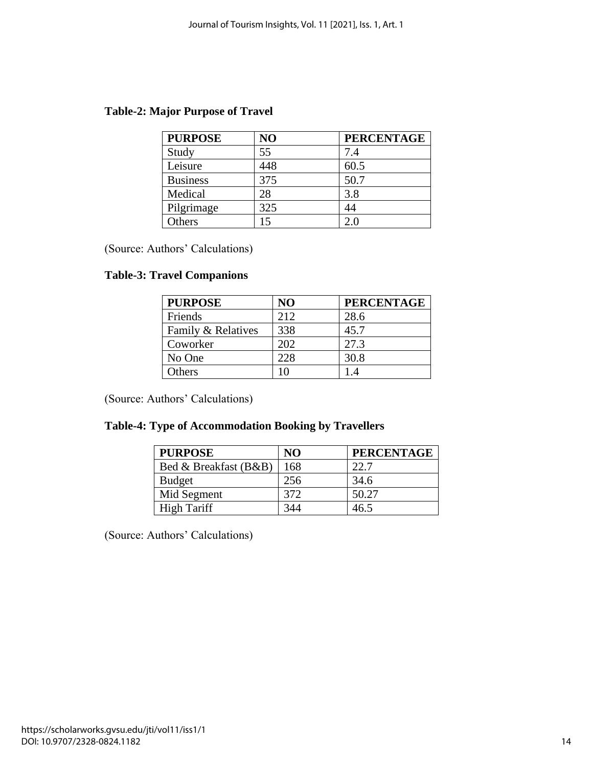| <b>Table-2: Major Purpose of Travel</b> |  |  |  |  |  |
|-----------------------------------------|--|--|--|--|--|
|-----------------------------------------|--|--|--|--|--|

| <b>PURPOSE</b>  | NO  | <b>PERCENTAGE</b> |
|-----------------|-----|-------------------|
| Study           | 55  | 7.4               |
| Leisure         | 448 | 60.5              |
| <b>Business</b> | 375 | 50.7              |
| Medical         | 28  | 3.8               |
| Pilgrimage      | 325 | 44                |
| Others          | 15  | 2.0               |

(Source: Authors' Calculations)

## **Table-3: Travel Companions**

| <b>PURPOSE</b>     | N <sub>O</sub> | <b>PERCENTAGE</b> |
|--------------------|----------------|-------------------|
| Friends            | 212            | 28.6              |
| Family & Relatives | 338            | 45.7              |
| Coworker           | 202            | 27.3              |
| No One             | 228            | 30.8              |
| Others             | ۱O             |                   |

(Source: Authors' Calculations)

## **Table-4: Type of Accommodation Booking by Travellers**

| <b>PURPOSE</b>        | N <sub>O</sub> | <b>PERCENTAGE</b> |
|-----------------------|----------------|-------------------|
| Bed & Breakfast (B&B) | 168            | 22.7              |
| <b>Budget</b>         | 256            | 34.6              |
| Mid Segment           | 372            | 50.27             |
| <b>High Tariff</b>    | 344            | 46.5              |

(Source: Authors' Calculations)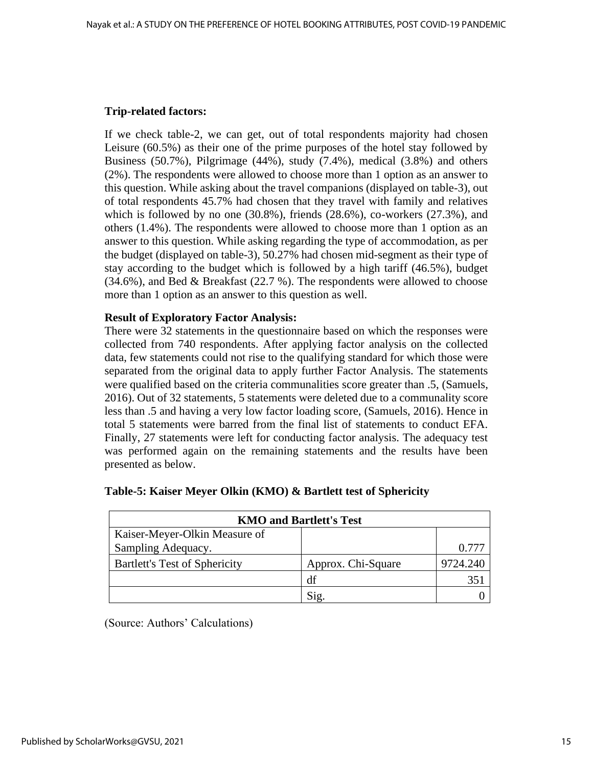## **Trip-related factors:**

If we check table-2, we can get, out of total respondents majority had chosen Leisure (60.5%) as their one of the prime purposes of the hotel stay followed by Business (50.7%), Pilgrimage (44%), study (7.4%), medical (3.8%) and others (2%). The respondents were allowed to choose more than 1 option as an answer to this question. While asking about the travel companions (displayed on table-3), out of total respondents 45.7% had chosen that they travel with family and relatives which is followed by no one (30.8%), friends (28.6%), co-workers (27.3%), and others (1.4%). The respondents were allowed to choose more than 1 option as an answer to this question. While asking regarding the type of accommodation, as per the budget (displayed on table-3), 50.27% had chosen mid-segment as their type of stay according to the budget which is followed by a high tariff (46.5%), budget (34.6%), and Bed & Breakfast (22.7 %). The respondents were allowed to choose more than 1 option as an answer to this question as well.

## **Result of Exploratory Factor Analysis:**

There were 32 statements in the questionnaire based on which the responses were collected from 740 respondents. After applying factor analysis on the collected data, few statements could not rise to the qualifying standard for which those were separated from the original data to apply further Factor Analysis. The statements were qualified based on the criteria communalities score greater than .5, (Samuels, 2016). Out of 32 statements, 5 statements were deleted due to a communality score less than .5 and having a very low factor loading score, (Samuels, 2016). Hence in total 5 statements were barred from the final list of statements to conduct EFA. Finally, 27 statements were left for conducting factor analysis. The adequacy test was performed again on the remaining statements and the results have been presented as below.

| <b>KMO and Bartlett's Test</b>       |                    |          |  |  |  |
|--------------------------------------|--------------------|----------|--|--|--|
| Kaiser-Meyer-Olkin Measure of        |                    |          |  |  |  |
| Sampling Adequacy.                   |                    | 0.777    |  |  |  |
| <b>Bartlett's Test of Sphericity</b> | Approx. Chi-Square | 9724.240 |  |  |  |
|                                      | df                 |          |  |  |  |
|                                      |                    |          |  |  |  |

## **Table-5: Kaiser Meyer Olkin (KMO) & Bartlett test of Sphericity**

(Source: Authors' Calculations)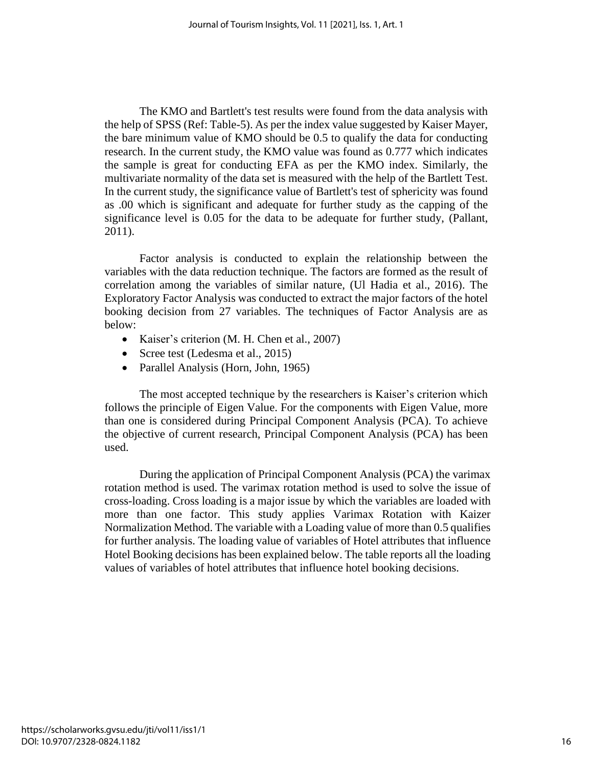The KMO and Bartlett's test results were found from the data analysis with the help of SPSS (Ref: Table-5). As per the index value suggested by Kaiser Mayer, the bare minimum value of KMO should be 0.5 to qualify the data for conducting research. In the current study, the KMO value was found as 0.777 which indicates the sample is great for conducting EFA as per the KMO index. Similarly, the multivariate normality of the data set is measured with the help of the Bartlett Test. In the current study, the significance value of Bartlett's test of sphericity was found as .00 which is significant and adequate for further study as the capping of the significance level is 0.05 for the data to be adequate for further study, (Pallant, 2011).

Factor analysis is conducted to explain the relationship between the variables with the data reduction technique. The factors are formed as the result of correlation among the variables of similar nature, (Ul Hadia et al., 2016). The Exploratory Factor Analysis was conducted to extract the major factors of the hotel booking decision from 27 variables. The techniques of Factor Analysis are as below:

- Kaiser's criterion (M. H. Chen et al., 2007)
- Scree test (Ledesma et al., 2015)
- Parallel Analysis (Horn, John, 1965)

The most accepted technique by the researchers is Kaiser's criterion which follows the principle of Eigen Value. For the components with Eigen Value, more than one is considered during Principal Component Analysis (PCA). To achieve the objective of current research, Principal Component Analysis (PCA) has been used.

During the application of Principal Component Analysis (PCA) the varimax rotation method is used. The varimax rotation method is used to solve the issue of cross-loading. Cross loading is a major issue by which the variables are loaded with more than one factor. This study applies Varimax Rotation with Kaizer Normalization Method. The variable with a Loading value of more than 0.5 qualifies for further analysis. The loading value of variables of Hotel attributes that influence Hotel Booking decisions has been explained below. The table reports all the loading values of variables of hotel attributes that influence hotel booking decisions.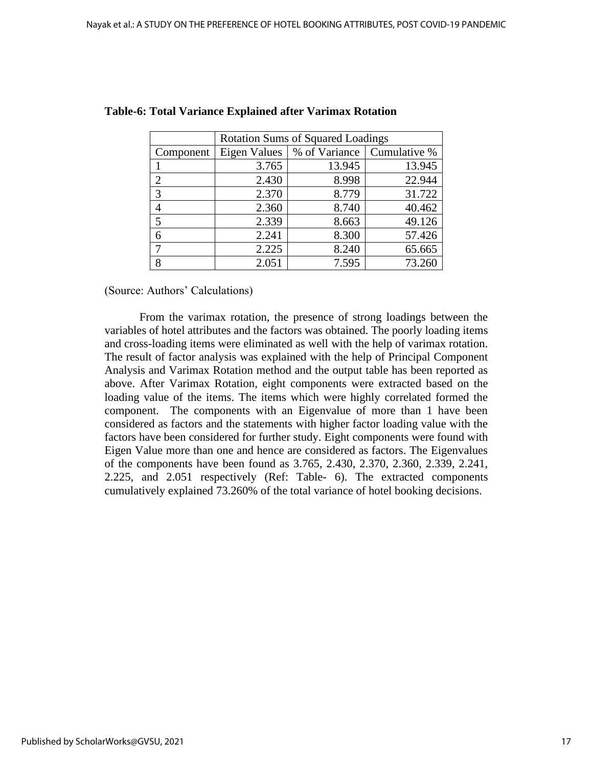|                | <b>Rotation Sums of Squared Loadings</b> |               |              |  |  |
|----------------|------------------------------------------|---------------|--------------|--|--|
| Component      | <b>Eigen Values</b>                      | % of Variance | Cumulative % |  |  |
|                | 3.765                                    | 13.945        | 13.945       |  |  |
| $\mathfrak{D}$ | 2.430                                    | 8.998         | 22.944       |  |  |
| 3              | 2.370                                    | 8.779         | 31.722       |  |  |
| 4              | 2.360                                    | 8.740         | 40.462       |  |  |
| 5              | 2.339                                    | 8.663         | 49.126       |  |  |
| 6              | 2.241                                    | 8.300         | 57.426       |  |  |
|                | 2.225                                    | 8.240         | 65.665       |  |  |
| 8              | 2.051                                    | 7.595         | 73.260       |  |  |

#### **Table-6: Total Variance Explained after Varimax Rotation**

(Source: Authors' Calculations)

From the varimax rotation, the presence of strong loadings between the variables of hotel attributes and the factors was obtained. The poorly loading items and cross-loading items were eliminated as well with the help of varimax rotation. The result of factor analysis was explained with the help of Principal Component Analysis and Varimax Rotation method and the output table has been reported as above. After Varimax Rotation, eight components were extracted based on the loading value of the items. The items which were highly correlated formed the component. The components with an Eigenvalue of more than 1 have been considered as factors and the statements with higher factor loading value with the factors have been considered for further study. Eight components were found with Eigen Value more than one and hence are considered as factors. The Eigenvalues of the components have been found as 3.765, 2.430, 2.370, 2.360, 2.339, 2.241, 2.225, and 2.051 respectively (Ref: Table- 6). The extracted components cumulatively explained 73.260% of the total variance of hotel booking decisions.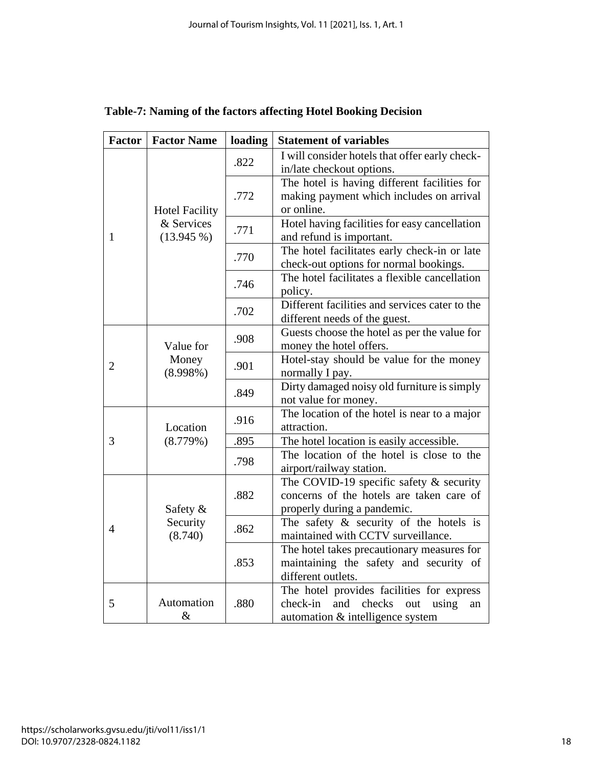| <b>Factor</b>                                                   | <b>Factor Name</b>                                  | loading                                                     | <b>Statement of variables</b>                                                                                                    |
|-----------------------------------------------------------------|-----------------------------------------------------|-------------------------------------------------------------|----------------------------------------------------------------------------------------------------------------------------------|
|                                                                 |                                                     | .822                                                        | I will consider hotels that offer early check-<br>in/late checkout options.                                                      |
|                                                                 | <b>Hotel Facility</b><br>& Services<br>$(13.945\%)$ | .772                                                        | The hotel is having different facilities for<br>making payment which includes on arrival<br>or online.                           |
| 1                                                               |                                                     | .771                                                        | Hotel having facilities for easy cancellation<br>and refund is important.                                                        |
|                                                                 |                                                     | .770                                                        | The hotel facilitates early check-in or late<br>check-out options for normal bookings.                                           |
|                                                                 |                                                     | .746                                                        | The hotel facilitates a flexible cancellation<br>policy.                                                                         |
|                                                                 |                                                     | .702                                                        | Different facilities and services cater to the<br>different needs of the guest.                                                  |
| Value for<br>Money<br>$\overline{2}$<br>$(8.998\%)$<br>Location |                                                     | .908                                                        | Guests choose the hotel as per the value for<br>money the hotel offers.                                                          |
|                                                                 |                                                     | .901                                                        | Hotel-stay should be value for the money<br>normally I pay.                                                                      |
|                                                                 |                                                     | .849                                                        | Dirty damaged noisy old furniture is simply<br>not value for money.                                                              |
|                                                                 | .916                                                | The location of the hotel is near to a major<br>attraction. |                                                                                                                                  |
| 3                                                               | (8.779%)                                            | .895                                                        | The hotel location is easily accessible.                                                                                         |
|                                                                 |                                                     | .798                                                        | The location of the hotel is close to the<br>airport/railway station.                                                            |
| 4                                                               | Safety $\&$                                         | .882                                                        | The COVID-19 specific safety $\&$ security<br>concerns of the hotels are taken care of<br>properly during a pandemic.            |
|                                                                 | Security<br>(8.740)                                 | .862                                                        | The safety $\&$ security of the hotels is<br>maintained with CCTV surveillance.                                                  |
|                                                                 |                                                     | .853                                                        | The hotel takes precautionary measures for<br>maintaining the safety and security of<br>different outlets.                       |
| Automation<br>5<br>$\&$                                         |                                                     | .880                                                        | The hotel provides facilities for express<br>check-in<br>checks<br>and<br>out<br>using<br>an<br>automation & intelligence system |

|  |  | Table-7: Naming of the factors affecting Hotel Booking Decision |  |  |
|--|--|-----------------------------------------------------------------|--|--|
|  |  |                                                                 |  |  |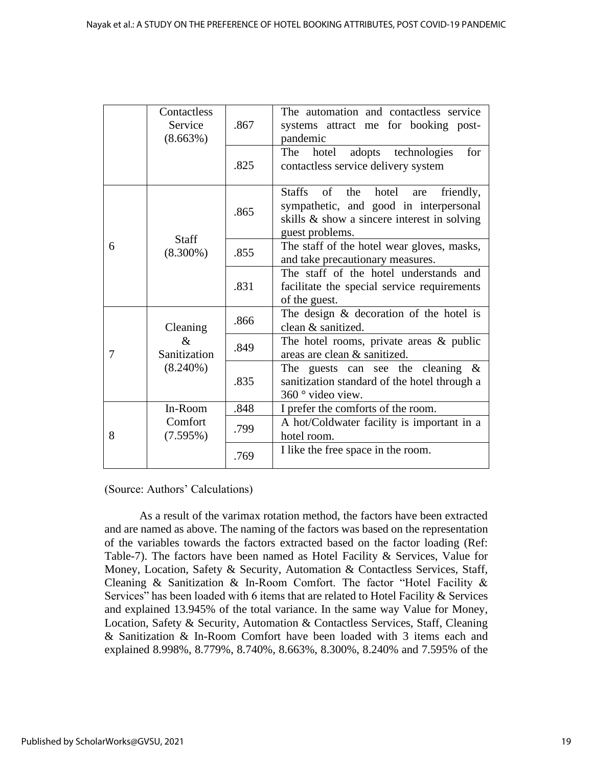|             | Contactless<br>Service<br>(8.663%) | .867                                                                                                            | The automation and contactless service<br>systems attract me for booking post-<br>pandemic                                                                          |  |  |
|-------------|------------------------------------|-----------------------------------------------------------------------------------------------------------------|---------------------------------------------------------------------------------------------------------------------------------------------------------------------|--|--|
|             |                                    | .825                                                                                                            | for<br>adopts technologies<br>The<br>hotel<br>contactless service delivery system                                                                                   |  |  |
|             | <b>Staff</b>                       | .865                                                                                                            | <b>Staffs</b><br>of<br>the<br>hotel<br>friendly,<br>are<br>sympathetic, and good in interpersonal<br>skills & show a sincere interest in solving<br>guest problems. |  |  |
| 6           | $(8.300\%)$                        | .855                                                                                                            | The staff of the hotel wear gloves, masks,<br>and take precautionary measures.                                                                                      |  |  |
|             | .831                               | The staff of the hotel understands and<br>facilitate the special service requirements<br>of the guest.          |                                                                                                                                                                     |  |  |
|             | Cleaning                           | .866                                                                                                            | The design $\&$ decoration of the hotel is<br>clean & sanitized.                                                                                                    |  |  |
| 7           | &<br>Sanitization                  | .849                                                                                                            | The hotel rooms, private areas $\&$ public<br>areas are clean & sanitized.                                                                                          |  |  |
| $(8.240\%)$ | .835                               | The guests can see the cleaning $\&$<br>sanitization standard of the hotel through a<br>$360^\circ$ video view. |                                                                                                                                                                     |  |  |
|             | In-Room                            | .848                                                                                                            | I prefer the comforts of the room.                                                                                                                                  |  |  |
| 8           | Comfort<br>(7.595%)                |                                                                                                                 | A hot/Coldwater facility is important in a<br>hotel room.                                                                                                           |  |  |
|             |                                    | .769                                                                                                            | I like the free space in the room.                                                                                                                                  |  |  |

(Source: Authors' Calculations)

As a result of the varimax rotation method, the factors have been extracted and are named as above. The naming of the factors was based on the representation of the variables towards the factors extracted based on the factor loading (Ref: Table-7). The factors have been named as Hotel Facility & Services, Value for Money, Location, Safety & Security, Automation & Contactless Services, Staff, Cleaning & Sanitization & In-Room Comfort. The factor "Hotel Facility & Services" has been loaded with 6 items that are related to Hotel Facility & Services and explained 13.945% of the total variance. In the same way Value for Money, Location, Safety & Security, Automation & Contactless Services, Staff, Cleaning & Sanitization & In-Room Comfort have been loaded with 3 items each and explained 8.998%, 8.779%, 8.740%, 8.663%, 8.300%, 8.240% and 7.595% of the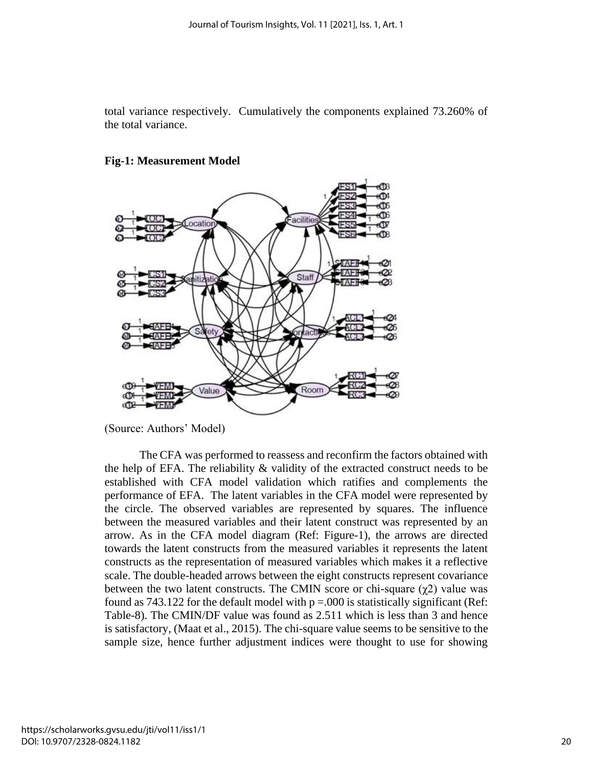total variance respectively. Cumulatively the components explained 73.260% of the total variance.



#### **Fig-1: Measurement Model**

(Source: Authors' Model)

The CFA was performed to reassess and reconfirm the factors obtained with the help of EFA. The reliability & validity of the extracted construct needs to be established with CFA model validation which ratifies and complements the performance of EFA. The latent variables in the CFA model were represented by the circle. The observed variables are represented by squares. The influence between the measured variables and their latent construct was represented by an arrow. As in the CFA model diagram (Ref: Figure-1), the arrows are directed towards the latent constructs from the measured variables it represents the latent constructs as the representation of measured variables which makes it a reflective scale. The double-headed arrows between the eight constructs represent covariance between the two latent constructs. The CMIN score or chi-square  $(\gamma 2)$  value was found as 743.122 for the default model with  $p = 0.000$  is statistically significant (Ref: Table-8). The CMIN/DF value was found as 2.511 which is less than 3 and hence is satisfactory, (Maat et al., 2015). The chi-square value seems to be sensitive to the sample size, hence further adjustment indices were thought to use for showing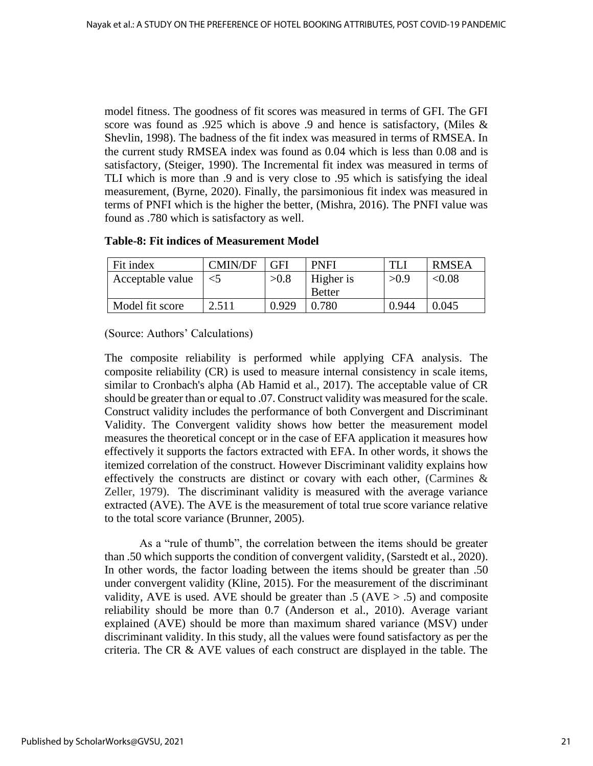model fitness. The goodness of fit scores was measured in terms of GFI. The GFI score was found as .925 which is above .9 and hence is satisfactory, (Miles & Shevlin, 1998). The badness of the fit index was measured in terms of RMSEA. In the current study RMSEA index was found as 0.04 which is less than 0.08 and is satisfactory, (Steiger, 1990). The Incremental fit index was measured in terms of TLI which is more than .9 and is very close to .95 which is satisfying the ideal measurement, (Byrne, 2020). Finally, the parsimonious fit index was measured in terms of PNFI which is the higher the better, (Mishra, 2016). The PNFI value was found as .780 which is satisfactory as well.

| Fit index        | <b>CMIN/DF</b> | GFI   | <b>PNFI</b>   |       | <b>RMSEA</b> |
|------------------|----------------|-------|---------------|-------|--------------|
| Acceptable value | $<$ 5          | >0.8  | Higher is     | >0.9  | < 0.08       |
|                  |                |       | <b>Better</b> |       |              |
| Model fit score  | 2.511          | 0.929 | 0.780         | 0.944 | 0.045        |

(Source: Authors' Calculations)

The composite reliability is performed while applying CFA analysis. The composite reliability (CR) is used to measure internal consistency in scale items, similar to Cronbach's alpha (Ab Hamid et al., 2017). The acceptable value of CR should be greater than or equal to .07. Construct validity was measured for the scale. Construct validity includes the performance of both Convergent and Discriminant Validity. The Convergent validity shows how better the measurement model measures the theoretical concept or in the case of EFA application it measures how effectively it supports the factors extracted with EFA. In other words, it shows the itemized correlation of the construct. However Discriminant validity explains how effectively the constructs are distinct or covary with each other, (Carmines & Zeller, 1979). The discriminant validity is measured with the average variance extracted (AVE). The AVE is the measurement of total true score variance relative to the total score variance (Brunner, 2005).

As a "rule of thumb", the correlation between the items should be greater than .50 which supports the condition of convergent validity, (Sarstedt et al., 2020). In other words, the factor loading between the items should be greater than .50 under convergent validity (Kline, 2015). For the measurement of the discriminant validity, AVE is used. AVE should be greater than .5 (AVE  $>$  .5) and composite reliability should be more than 0.7 (Anderson et al., 2010). Average variant explained (AVE) should be more than maximum shared variance (MSV) under discriminant validity. In this study, all the values were found satisfactory as per the criteria. The CR & AVE values of each construct are displayed in the table. The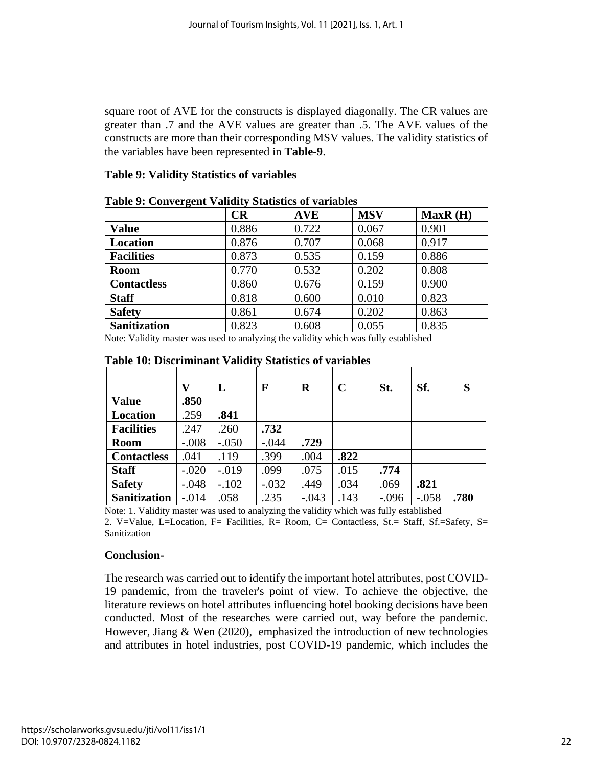square root of AVE for the constructs is displayed diagonally. The CR values are greater than .7 and the AVE values are greater than .5. The AVE values of the constructs are more than their corresponding MSV values. The validity statistics of the variables have been represented in **Table-9**.

## **Table 9: Validity Statistics of variables**

| 0                   | $\overline{\phantom{a}}$<br>CR | <b>AVE</b> | <b>MSV</b> | MaxR(H) |
|---------------------|--------------------------------|------------|------------|---------|
| <b>Value</b>        | 0.886                          | 0.722      | 0.067      | 0.901   |
| <b>Location</b>     | 0.876                          | 0.707      | 0.068      | 0.917   |
| <b>Facilities</b>   | 0.873                          | 0.535      | 0.159      | 0.886   |
| <b>Room</b>         | 0.770                          | 0.532      | 0.202      | 0.808   |
| <b>Contactless</b>  | 0.860                          | 0.676      | 0.159      | 0.900   |
| <b>Staff</b>        | 0.818                          | 0.600      | 0.010      | 0.823   |
| <b>Safety</b>       | 0.861                          | 0.674      | 0.202      | 0.863   |
| <b>Sanitization</b> | 0.823                          | 0.608      | 0.055      | 0.835   |

## **Table 9: Convergent Validity Statistics of variables**

Note: Validity master was used to analyzing the validity which was fully established

|                     | v       | L       | F       | R       | $\mathbf C$ | St.     | Sf.     | S    |
|---------------------|---------|---------|---------|---------|-------------|---------|---------|------|
| <b>Value</b>        | .850    |         |         |         |             |         |         |      |
| <b>Location</b>     | .259    | .841    |         |         |             |         |         |      |
| <b>Facilities</b>   | .247    | .260    | .732    |         |             |         |         |      |
| <b>Room</b>         | $-.008$ | $-.050$ | $-.044$ | .729    |             |         |         |      |
| <b>Contactless</b>  | .041    | .119    | .399    | .004    | .822        |         |         |      |
| <b>Staff</b>        | $-.020$ | $-.019$ | .099    | .075    | .015        | .774    |         |      |
| <b>Safety</b>       | $-.048$ | $-.102$ | $-.032$ | .449    | .034        | .069    | .821    |      |
| <b>Sanitization</b> | $-.014$ | .058    | .235    | $-.043$ | .143        | $-.096$ | $-.058$ | .780 |

#### **Table 10: Discriminant Validity Statistics of variables**

Note: 1. Validity master was used to analyzing the validity which was fully established

2. V=Value, L=Location, F= Facilities, R= Room, C= Contactless, St.= Staff, Sf.=Safety, S= Sanitization

## **Conclusion-**

The research was carried out to identify the important hotel attributes, post COVID-19 pandemic, from the traveler's point of view. To achieve the objective, the literature reviews on hotel attributes influencing hotel booking decisions have been conducted. Most of the researches were carried out, way before the pandemic. However, Jiang & Wen (2020), emphasized the introduction of new technologies and attributes in hotel industries, post COVID-19 pandemic, which includes the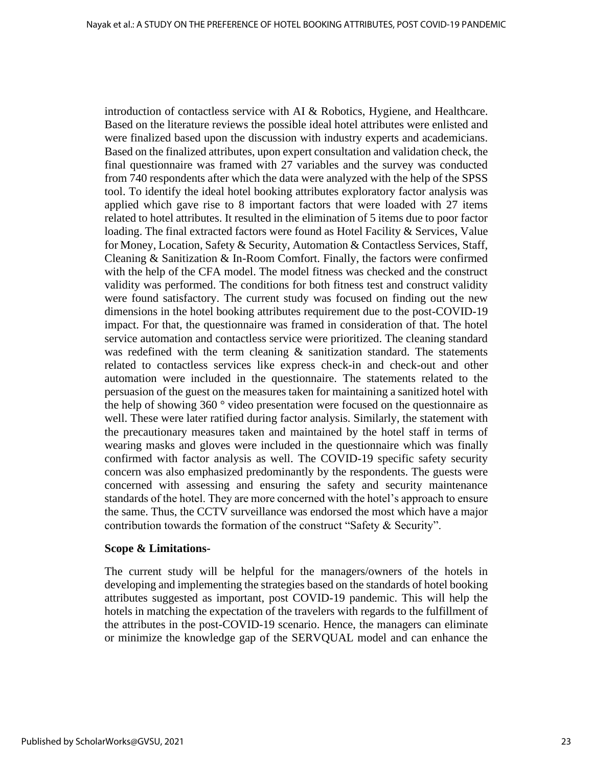introduction of contactless service with AI & Robotics, Hygiene, and Healthcare. Based on the literature reviews the possible ideal hotel attributes were enlisted and were finalized based upon the discussion with industry experts and academicians. Based on the finalized attributes, upon expert consultation and validation check, the final questionnaire was framed with 27 variables and the survey was conducted from 740 respondents after which the data were analyzed with the help of the SPSS tool. To identify the ideal hotel booking attributes exploratory factor analysis was applied which gave rise to 8 important factors that were loaded with 27 items related to hotel attributes. It resulted in the elimination of 5 items due to poor factor loading. The final extracted factors were found as Hotel Facility & Services, Value for Money, Location, Safety & Security, Automation & Contactless Services, Staff, Cleaning & Sanitization & In-Room Comfort. Finally, the factors were confirmed with the help of the CFA model. The model fitness was checked and the construct validity was performed. The conditions for both fitness test and construct validity were found satisfactory. The current study was focused on finding out the new dimensions in the hotel booking attributes requirement due to the post-COVID-19 impact. For that, the questionnaire was framed in consideration of that. The hotel service automation and contactless service were prioritized. The cleaning standard was redefined with the term cleaning & sanitization standard. The statements related to contactless services like express check-in and check-out and other automation were included in the questionnaire. The statements related to the persuasion of the guest on the measures taken for maintaining a sanitized hotel with the help of showing 360 ° video presentation were focused on the questionnaire as well. These were later ratified during factor analysis. Similarly, the statement with the precautionary measures taken and maintained by the hotel staff in terms of wearing masks and gloves were included in the questionnaire which was finally confirmed with factor analysis as well. The COVID-19 specific safety security concern was also emphasized predominantly by the respondents. The guests were concerned with assessing and ensuring the safety and security maintenance standards of the hotel. They are more concerned with the hotel's approach to ensure the same. Thus, the CCTV surveillance was endorsed the most which have a major contribution towards the formation of the construct "Safety & Security".

#### **Scope & Limitations-**

The current study will be helpful for the managers/owners of the hotels in developing and implementing the strategies based on the standards of hotel booking attributes suggested as important, post COVID-19 pandemic. This will help the hotels in matching the expectation of the travelers with regards to the fulfillment of the attributes in the post-COVID-19 scenario. Hence, the managers can eliminate or minimize the knowledge gap of the SERVQUAL model and can enhance the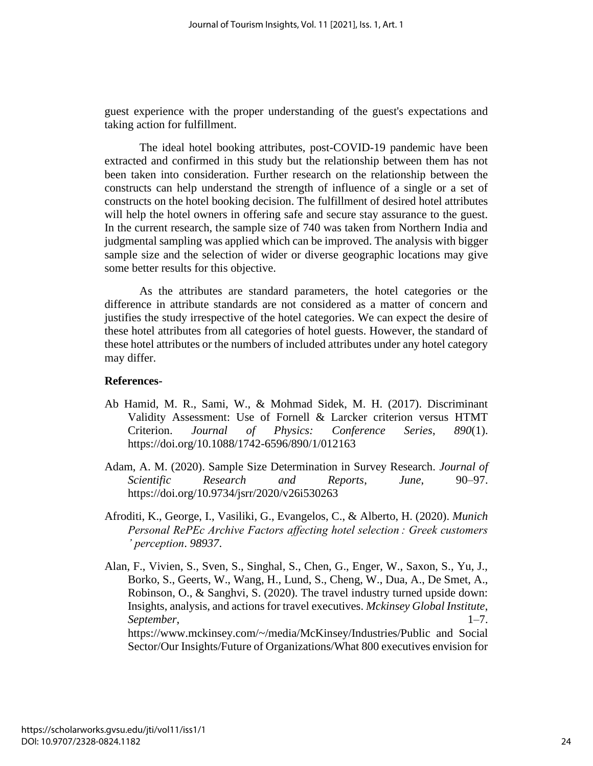guest experience with the proper understanding of the guest's expectations and taking action for fulfillment.

The ideal hotel booking attributes, post-COVID-19 pandemic have been extracted and confirmed in this study but the relationship between them has not been taken into consideration. Further research on the relationship between the constructs can help understand the strength of influence of a single or a set of constructs on the hotel booking decision. The fulfillment of desired hotel attributes will help the hotel owners in offering safe and secure stay assurance to the guest. In the current research, the sample size of 740 was taken from Northern India and judgmental sampling was applied which can be improved. The analysis with bigger sample size and the selection of wider or diverse geographic locations may give some better results for this objective.

As the attributes are standard parameters, the hotel categories or the difference in attribute standards are not considered as a matter of concern and justifies the study irrespective of the hotel categories. We can expect the desire of these hotel attributes from all categories of hotel guests. However, the standard of these hotel attributes or the numbers of included attributes under any hotel category may differ.

## **References-**

- Ab Hamid, M. R., Sami, W., & Mohmad Sidek, M. H. (2017). Discriminant Validity Assessment: Use of Fornell & Larcker criterion versus HTMT Criterion. *Journal of Physics: Conference Series*, *890*(1). https://doi.org/10.1088/1742-6596/890/1/012163
- Adam, A. M. (2020). Sample Size Determination in Survey Research. *Journal of Scientific Research and Reports*, *June*, 90–97. https://doi.org/10.9734/jsrr/2020/v26i530263
- Afroditi, K., George, I., Vasiliki, G., Evangelos, C., & Alberto, H. (2020). *Munich Personal RePEc Archive Factors affecting hotel selection : Greek customers ' perception*. *98937*.
- Alan, F., Vivien, S., Sven, S., Singhal, S., Chen, G., Enger, W., Saxon, S., Yu, J., Borko, S., Geerts, W., Wang, H., Lund, S., Cheng, W., Dua, A., De Smet, A., Robinson, O., & Sanghvi, S. (2020). The travel industry turned upside down: Insights, analysis, and actions for travel executives. *Mckinsey Global Institute*, *September*, 1–7. https://www.mckinsey.com/~/media/McKinsey/Industries/Public and Social Sector/Our Insights/Future of Organizations/What 800 executives envision for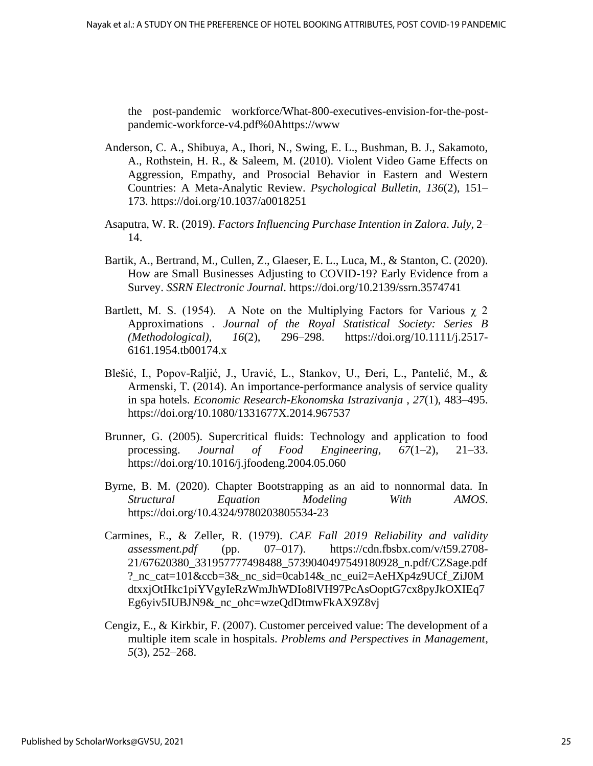the post-pandemic workforce/What-800-executives-envision-for-the-postpandemic-workforce-v4.pdf%0Ahttps://www

- Anderson, C. A., Shibuya, A., Ihori, N., Swing, E. L., Bushman, B. J., Sakamoto, A., Rothstein, H. R., & Saleem, M. (2010). Violent Video Game Effects on Aggression, Empathy, and Prosocial Behavior in Eastern and Western Countries: A Meta-Analytic Review. *Psychological Bulletin*, *136*(2), 151– 173. https://doi.org/10.1037/a0018251
- Asaputra, W. R. (2019). *Factors Influencing Purchase Intention in Zalora*. *July*, 2– 14.
- Bartik, A., Bertrand, M., Cullen, Z., Glaeser, E. L., Luca, M., & Stanton, C. (2020). How are Small Businesses Adjusting to COVID-19? Early Evidence from a Survey. *SSRN Electronic Journal*. https://doi.org/10.2139/ssrn.3574741
- Bartlett, M. S. (1954). A Note on the Multiplying Factors for Various  $\chi$  2 Approximations . *Journal of the Royal Statistical Society: Series B (Methodological)*, *16*(2), 296–298. https://doi.org/10.1111/j.2517- 6161.1954.tb00174.x
- Blešić, I., Popov-Raljić, J., Uravić, L., Stankov, U., Đeri, L., Pantelić, M., & Armenski, T. (2014). An importance-performance analysis of service quality in spa hotels. *Economic Research-Ekonomska Istrazivanja* , *27*(1), 483–495. https://doi.org/10.1080/1331677X.2014.967537
- Brunner, G. (2005). Supercritical fluids: Technology and application to food processing. *Journal of Food Engineering*, *67*(1–2), 21–33. https://doi.org/10.1016/j.jfoodeng.2004.05.060
- Byrne, B. M. (2020). Chapter Bootstrapping as an aid to nonnormal data. In *Structural Equation Modeling With AMOS*. https://doi.org/10.4324/9780203805534-23
- Carmines, E., & Zeller, R. (1979). *CAE Fall 2019 Reliability and validity assessment.pdf* (pp. 07–017). https://cdn.fbsbx.com/v/t59.2708- 21/67620380\_331957777498488\_5739040497549180928\_n.pdf/CZSage.pdf ?\_nc\_cat=101&ccb=3&\_nc\_sid=0cab14&\_nc\_eui2=AeHXp4z9UCf\_ZiJ0M dtxxjOtHkc1piYVgyIeRzWmJhWDIo8lVH97PcAsOoptG7cx8pyJkOXIEq7 Eg6yiv5IUBJN9&\_nc\_ohc=wzeQdDtmwFkAX9Z8vj
- Cengiz, E., & Kirkbir, F. (2007). Customer perceived value: The development of a multiple item scale in hospitals. *Problems and Perspectives in Management*, *5*(3), 252–268.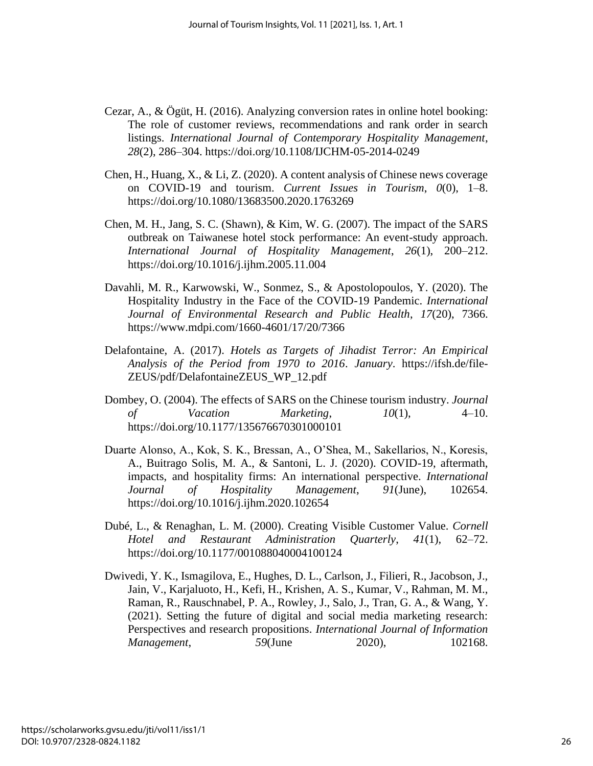- Cezar, A., & Ögüt, H. (2016). Analyzing conversion rates in online hotel booking: The role of customer reviews, recommendations and rank order in search listings. *International Journal of Contemporary Hospitality Management*, *28*(2), 286–304. https://doi.org/10.1108/IJCHM-05-2014-0249
- Chen, H., Huang, X., & Li, Z. (2020). A content analysis of Chinese news coverage on COVID-19 and tourism. *Current Issues in Tourism*, *0*(0), 1–8. https://doi.org/10.1080/13683500.2020.1763269
- Chen, M. H., Jang, S. C. (Shawn), & Kim, W. G. (2007). The impact of the SARS outbreak on Taiwanese hotel stock performance: An event-study approach. *International Journal of Hospitality Management*, *26*(1), 200–212. https://doi.org/10.1016/j.ijhm.2005.11.004
- Davahli, M. R., Karwowski, W., Sonmez, S., & Apostolopoulos, Y. (2020). The Hospitality Industry in the Face of the COVID-19 Pandemic. *International Journal of Environmental Research and Public Health*, *17*(20), 7366. https://www.mdpi.com/1660-4601/17/20/7366
- Delafontaine, A. (2017). *Hotels as Targets of Jihadist Terror: An Empirical Analysis of the Period from 1970 to 2016*. *January*. https://ifsh.de/file-ZEUS/pdf/DelafontaineZEUS\_WP\_12.pdf
- Dombey, O. (2004). The effects of SARS on the Chinese tourism industry. *Journal of Vacation Marketing*, *10*(1), 4–10. https://doi.org/10.1177/135676670301000101
- Duarte Alonso, A., Kok, S. K., Bressan, A., O'Shea, M., Sakellarios, N., Koresis, A., Buitrago Solis, M. A., & Santoni, L. J. (2020). COVID-19, aftermath, impacts, and hospitality firms: An international perspective. *International Journal of Hospitality Management*, *91*(June), 102654. https://doi.org/10.1016/j.ijhm.2020.102654
- Dubé, L., & Renaghan, L. M. (2000). Creating Visible Customer Value. *Cornell Hotel and Restaurant Administration Quarterly*, *41*(1), 62–72. https://doi.org/10.1177/001088040004100124
- Dwivedi, Y. K., Ismagilova, E., Hughes, D. L., Carlson, J., Filieri, R., Jacobson, J., Jain, V., Karjaluoto, H., Kefi, H., Krishen, A. S., Kumar, V., Rahman, M. M., Raman, R., Rauschnabel, P. A., Rowley, J., Salo, J., Tran, G. A., & Wang, Y. (2021). Setting the future of digital and social media marketing research: Perspectives and research propositions. *International Journal of Information Management*, 59(June 2020), 102168.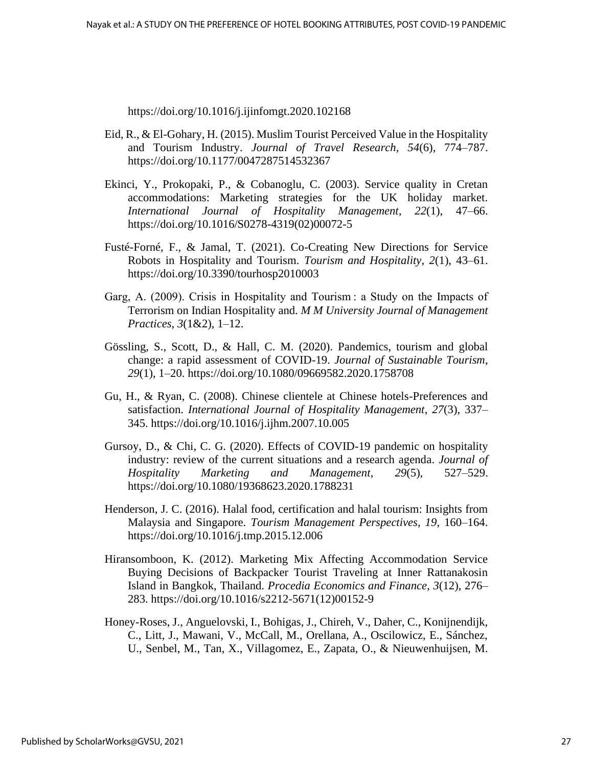https://doi.org/10.1016/j.ijinfomgt.2020.102168

- Eid, R., & El-Gohary, H. (2015). Muslim Tourist Perceived Value in the Hospitality and Tourism Industry. *Journal of Travel Research*, *54*(6), 774–787. https://doi.org/10.1177/0047287514532367
- Ekinci, Y., Prokopaki, P., & Cobanoglu, C. (2003). Service quality in Cretan accommodations: Marketing strategies for the UK holiday market. *International Journal of Hospitality Management*, *22*(1), 47–66. https://doi.org/10.1016/S0278-4319(02)00072-5
- Fusté-Forné, F., & Jamal, T. (2021). Co-Creating New Directions for Service Robots in Hospitality and Tourism. *Tourism and Hospitality*, *2*(1), 43–61. https://doi.org/10.3390/tourhosp2010003
- Garg, A. (2009). Crisis in Hospitality and Tourism : a Study on the Impacts of Terrorism on Indian Hospitality and. *M M University Journal of Management Practices*, *3*(1&2), 1–12.
- Gössling, S., Scott, D., & Hall, C. M. (2020). Pandemics, tourism and global change: a rapid assessment of COVID-19. *Journal of Sustainable Tourism*, *29*(1), 1–20. https://doi.org/10.1080/09669582.2020.1758708
- Gu, H., & Ryan, C. (2008). Chinese clientele at Chinese hotels-Preferences and satisfaction. *International Journal of Hospitality Management*, *27*(3), 337– 345. https://doi.org/10.1016/j.ijhm.2007.10.005
- Gursoy, D., & Chi, C. G. (2020). Effects of COVID-19 pandemic on hospitality industry: review of the current situations and a research agenda. *Journal of Hospitality Marketing and Management*, *29*(5), 527–529. https://doi.org/10.1080/19368623.2020.1788231
- Henderson, J. C. (2016). Halal food, certification and halal tourism: Insights from Malaysia and Singapore. *Tourism Management Perspectives*, *19*, 160–164. https://doi.org/10.1016/j.tmp.2015.12.006
- Hiransomboon, K. (2012). Marketing Mix Affecting Accommodation Service Buying Decisions of Backpacker Tourist Traveling at Inner Rattanakosin Island in Bangkok, Thailand. *Procedia Economics and Finance*, *3*(12), 276– 283. https://doi.org/10.1016/s2212-5671(12)00152-9
- Honey-Roses, J., Anguelovski, I., Bohigas, J., Chireh, V., Daher, C., Konijnendijk, C., Litt, J., Mawani, V., McCall, M., Orellana, A., Oscilowicz, E., Sánchez, U., Senbel, M., Tan, X., Villagomez, E., Zapata, O., & Nieuwenhuijsen, M.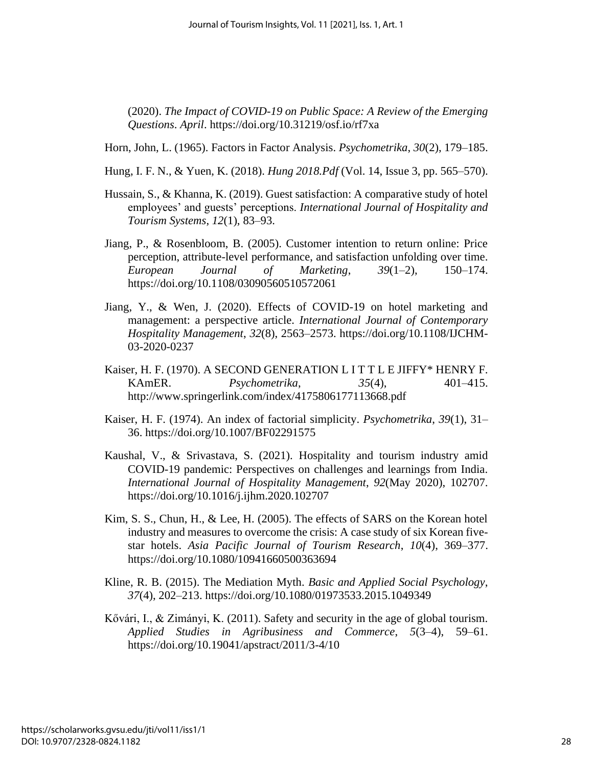(2020). *The Impact of COVID-19 on Public Space: A Review of the Emerging Questions*. *April*. https://doi.org/10.31219/osf.io/rf7xa

- Horn, John, L. (1965). Factors in Factor Analysis. *Psychometrika*, *30*(2), 179–185.
- Hung, I. F. N., & Yuen, K. (2018). *Hung 2018.Pdf* (Vol. 14, Issue 3, pp. 565–570).
- Hussain, S., & Khanna, K. (2019). Guest satisfaction: A comparative study of hotel employees' and guests' perceptions. *International Journal of Hospitality and Tourism Systems*, *12*(1), 83–93.
- Jiang, P., & Rosenbloom, B. (2005). Customer intention to return online: Price perception, attribute-level performance, and satisfaction unfolding over time. *European Journal of Marketing*, *39*(1–2), 150–174. https://doi.org/10.1108/03090560510572061
- Jiang, Y., & Wen, J. (2020). Effects of COVID-19 on hotel marketing and management: a perspective article. *International Journal of Contemporary Hospitality Management*, *32*(8), 2563–2573. https://doi.org/10.1108/IJCHM-03-2020-0237
- Kaiser, H. F. (1970). A SECOND GENERATION L I T T L E JIFFY\* HENRY F. KAmER. *Psychometrika*, *35*(4), 401–415. http://www.springerlink.com/index/4175806177113668.pdf
- Kaiser, H. F. (1974). An index of factorial simplicity. *Psychometrika*, *39*(1), 31– 36. https://doi.org/10.1007/BF02291575
- Kaushal, V., & Srivastava, S. (2021). Hospitality and tourism industry amid COVID-19 pandemic: Perspectives on challenges and learnings from India. *International Journal of Hospitality Management*, *92*(May 2020), 102707. https://doi.org/10.1016/j.ijhm.2020.102707
- Kim, S. S., Chun, H., & Lee, H. (2005). The effects of SARS on the Korean hotel industry and measures to overcome the crisis: A case study of six Korean fivestar hotels. *Asia Pacific Journal of Tourism Research*, *10*(4), 369–377. https://doi.org/10.1080/10941660500363694
- Kline, R. B. (2015). The Mediation Myth. *Basic and Applied Social Psychology*, *37*(4), 202–213. https://doi.org/10.1080/01973533.2015.1049349
- Kővári, I., & Zimányi, K. (2011). Safety and security in the age of global tourism. *Applied Studies in Agribusiness and Commerce*, *5*(3–4), 59–61. https://doi.org/10.19041/apstract/2011/3-4/10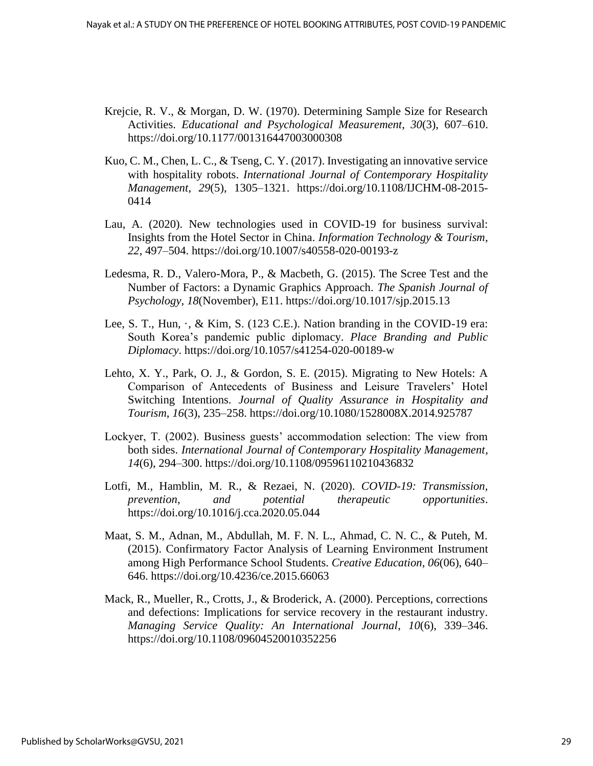- Krejcie, R. V., & Morgan, D. W. (1970). Determining Sample Size for Research Activities. *Educational and Psychological Measurement*, *30*(3), 607–610. https://doi.org/10.1177/001316447003000308
- Kuo, C. M., Chen, L. C., & Tseng, C. Y. (2017). Investigating an innovative service with hospitality robots. *International Journal of Contemporary Hospitality Management*, *29*(5), 1305–1321. https://doi.org/10.1108/IJCHM-08-2015- 0414
- Lau, A. (2020). New technologies used in COVID-19 for business survival: Insights from the Hotel Sector in China. *Information Technology & Tourism*, *22*, 497–504. https://doi.org/10.1007/s40558-020-00193-z
- Ledesma, R. D., Valero-Mora, P., & Macbeth, G. (2015). The Scree Test and the Number of Factors: a Dynamic Graphics Approach. *The Spanish Journal of Psychology*, *18*(November), E11. https://doi.org/10.1017/sjp.2015.13
- Lee, S. T., Hun, ·, & Kim, S. (123 C.E.). Nation branding in the COVID-19 era: South Korea's pandemic public diplomacy. *Place Branding and Public Diplomacy*. https://doi.org/10.1057/s41254-020-00189-w
- Lehto, X. Y., Park, O. J., & Gordon, S. E. (2015). Migrating to New Hotels: A Comparison of Antecedents of Business and Leisure Travelers' Hotel Switching Intentions. *Journal of Quality Assurance in Hospitality and Tourism*, *16*(3), 235–258. https://doi.org/10.1080/1528008X.2014.925787
- Lockyer, T. (2002). Business guests' accommodation selection: The view from both sides. *International Journal of Contemporary Hospitality Management*, *14*(6), 294–300. https://doi.org/10.1108/09596110210436832
- Lotfi, M., Hamblin, M. R., & Rezaei, N. (2020). *COVID-19: Transmission, prevention, and potential therapeutic opportunities*. https://doi.org/10.1016/j.cca.2020.05.044
- Maat, S. M., Adnan, M., Abdullah, M. F. N. L., Ahmad, C. N. C., & Puteh, M. (2015). Confirmatory Factor Analysis of Learning Environment Instrument among High Performance School Students. *Creative Education*, *06*(06), 640– 646. https://doi.org/10.4236/ce.2015.66063
- Mack, R., Mueller, R., Crotts, J., & Broderick, A. (2000). Perceptions, corrections and defections: Implications for service recovery in the restaurant industry. *Managing Service Quality: An International Journal*, *10*(6), 339–346. https://doi.org/10.1108/09604520010352256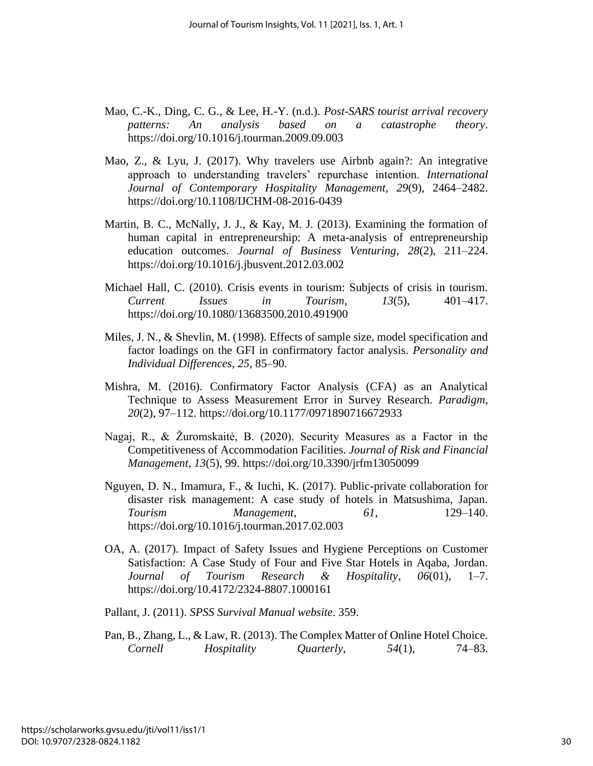- Mao, C.-K., Ding, C. G., & Lee, H.-Y. (n.d.). *Post-SARS tourist arrival recovery patterns: An analysis based on a catastrophe theory*. https://doi.org/10.1016/j.tourman.2009.09.003
- Mao, Z., & Lyu, J. (2017). Why travelers use Airbnb again?: An integrative approach to understanding travelers' repurchase intention. *International Journal of Contemporary Hospitality Management*, *29*(9), 2464–2482. https://doi.org/10.1108/IJCHM-08-2016-0439
- Martin, B. C., McNally, J. J., & Kay, M. J. (2013). Examining the formation of human capital in entrepreneurship: A meta-analysis of entrepreneurship education outcomes. *Journal of Business Venturing*, *28*(2), 211–224. https://doi.org/10.1016/j.jbusvent.2012.03.002
- Michael Hall, C. (2010). Crisis events in tourism: Subjects of crisis in tourism. *Current Issues in Tourism*, *13*(5), 401–417. https://doi.org/10.1080/13683500.2010.491900
- Miles, J. N., & Shevlin, M. (1998). Effects of sample size, model specification and factor loadings on the GFI in confirmatory factor analysis. *Personality and Individual Differences*, *25*, 85–90.
- Mishra, M. (2016). Confirmatory Factor Analysis (CFA) as an Analytical Technique to Assess Measurement Error in Survey Research. *Paradigm*, *20*(2), 97–112. https://doi.org/10.1177/0971890716672933
- Nagaj, R., & Žuromskaitė, B. (2020). Security Measures as a Factor in the Competitiveness of Accommodation Facilities. *Journal of Risk and Financial Management*, *13*(5), 99. https://doi.org/10.3390/jrfm13050099
- Nguyen, D. N., Imamura, F., & Iuchi, K. (2017). Public-private collaboration for disaster risk management: A case study of hotels in Matsushima, Japan. *Tourism Management*, *61*, 129–140. https://doi.org/10.1016/j.tourman.2017.02.003
- OA, A. (2017). Impact of Safety Issues and Hygiene Perceptions on Customer Satisfaction: A Case Study of Four and Five Star Hotels in Aqaba, Jordan. *Journal of Tourism Research & Hospitality*, *06*(01), 1–7. https://doi.org/10.4172/2324-8807.1000161
- Pallant, J. (2011). *SPSS Survival Manual website*. 359.
- Pan, B., Zhang, L., & Law, R. (2013). The Complex Matter of Online Hotel Choice. *Cornell Hospitality Quarterly*, *54*(1), 74–83.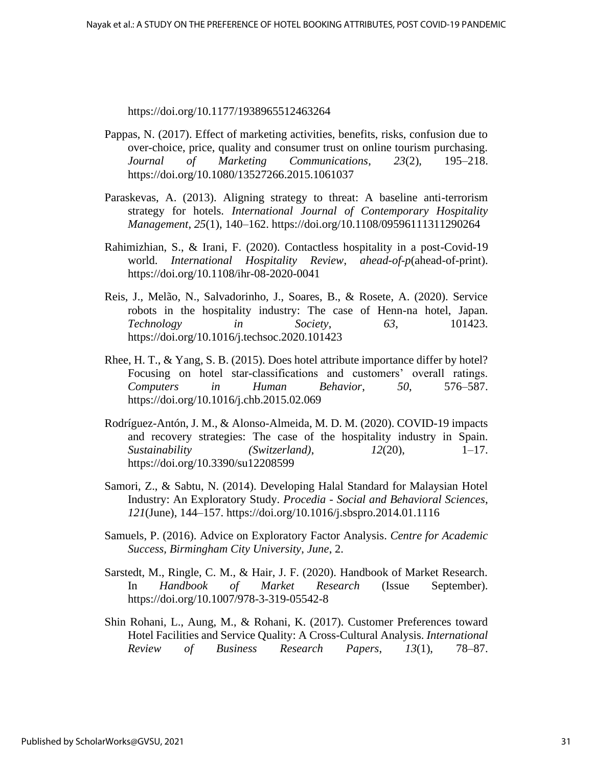https://doi.org/10.1177/1938965512463264

- Pappas, N. (2017). Effect of marketing activities, benefits, risks, confusion due to over-choice, price, quality and consumer trust on online tourism purchasing. *Journal of Marketing Communications*, *23*(2), 195–218. https://doi.org/10.1080/13527266.2015.1061037
- Paraskevas, A. (2013). Aligning strategy to threat: A baseline anti-terrorism strategy for hotels. *International Journal of Contemporary Hospitality Management*, *25*(1), 140–162. https://doi.org/10.1108/09596111311290264
- Rahimizhian, S., & Irani, F. (2020). Contactless hospitality in a post-Covid-19 world. *International Hospitality Review*, *ahead*-*of*-*p*(ahead-of-print). https://doi.org/10.1108/ihr-08-2020-0041
- Reis, J., Melão, N., Salvadorinho, J., Soares, B., & Rosete, A. (2020). Service robots in the hospitality industry: The case of Henn-na hotel, Japan. *Technology in Society*, *63*, 101423. https://doi.org/10.1016/j.techsoc.2020.101423
- Rhee, H. T., & Yang, S. B. (2015). Does hotel attribute importance differ by hotel? Focusing on hotel star-classifications and customers' overall ratings. *Computers in Human Behavior*, *50*, 576–587. https://doi.org/10.1016/j.chb.2015.02.069
- Rodríguez-Antón, J. M., & Alonso-Almeida, M. D. M. (2020). COVID-19 impacts and recovery strategies: The case of the hospitality industry in Spain. *Sustainability (Switzerland)*, *12*(20), 1–17. https://doi.org/10.3390/su12208599
- Samori, Z., & Sabtu, N. (2014). Developing Halal Standard for Malaysian Hotel Industry: An Exploratory Study. *Procedia - Social and Behavioral Sciences*, *121*(June), 144–157. https://doi.org/10.1016/j.sbspro.2014.01.1116
- Samuels, P. (2016). Advice on Exploratory Factor Analysis. *Centre for Academic Success, Birmingham City University*, *June*, 2.
- Sarstedt, M., Ringle, C. M., & Hair, J. F. (2020). Handbook of Market Research. In *Handbook of Market Research* (Issue September). https://doi.org/10.1007/978-3-319-05542-8
- Shin Rohani, L., Aung, M., & Rohani, K. (2017). Customer Preferences toward Hotel Facilities and Service Quality: A Cross-Cultural Analysis. *International Review of Business Research Papers*, *13*(1), 78–87.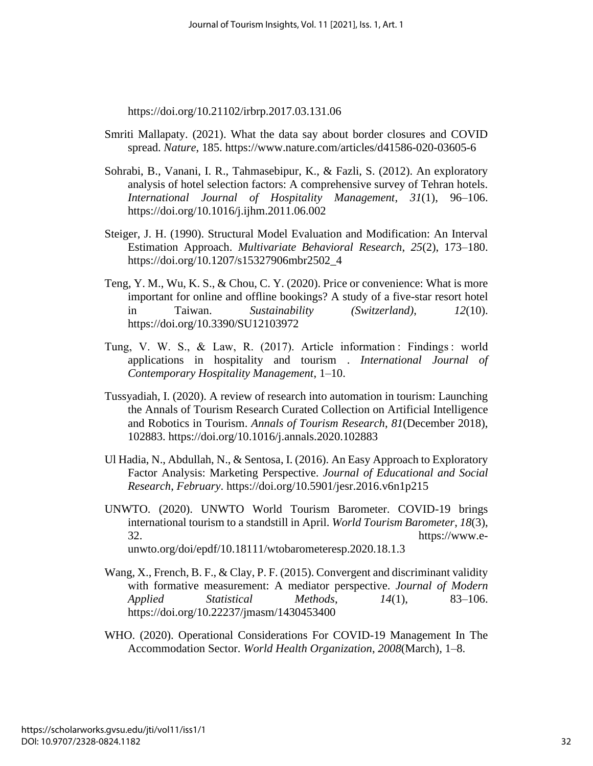https://doi.org/10.21102/irbrp.2017.03.131.06

- Smriti Mallapaty. (2021). What the data say about border closures and COVID spread. *Nature*, 185. https://www.nature.com/articles/d41586-020-03605-6
- Sohrabi, B., Vanani, I. R., Tahmasebipur, K., & Fazli, S. (2012). An exploratory analysis of hotel selection factors: A comprehensive survey of Tehran hotels. *International Journal of Hospitality Management*, *31*(1), 96–106. https://doi.org/10.1016/j.ijhm.2011.06.002
- Steiger, J. H. (1990). Structural Model Evaluation and Modification: An Interval Estimation Approach. *Multivariate Behavioral Research*, *25*(2), 173–180. https://doi.org/10.1207/s15327906mbr2502\_4
- Teng, Y. M., Wu, K. S., & Chou, C. Y. (2020). Price or convenience: What is more important for online and offline bookings? A study of a five-star resort hotel in Taiwan. *Sustainability (Switzerland)*, *12*(10). https://doi.org/10.3390/SU12103972
- Tung, V. W. S., & Law, R. (2017). Article information : Findings : world applications in hospitality and tourism . *International Journal of Contemporary Hospitality Management*, 1–10.
- Tussyadiah, I. (2020). A review of research into automation in tourism: Launching the Annals of Tourism Research Curated Collection on Artificial Intelligence and Robotics in Tourism. *Annals of Tourism Research*, *81*(December 2018), 102883. https://doi.org/10.1016/j.annals.2020.102883
- Ul Hadia, N., Abdullah, N., & Sentosa, I. (2016). An Easy Approach to Exploratory Factor Analysis: Marketing Perspective. *Journal of Educational and Social Research*, *February*. https://doi.org/10.5901/jesr.2016.v6n1p215
- UNWTO. (2020). UNWTO World Tourism Barometer. COVID-19 brings international tourism to a standstill in April. *World Tourism Barometer*, *18*(3), 32. https://www.eunwto.org/doi/epdf/10.18111/wtobarometeresp.2020.18.1.3
- Wang, X., French, B. F., & Clay, P. F. (2015). Convergent and discriminant validity with formative measurement: A mediator perspective. *Journal of Modern Applied Statistical Methods*, *14*(1), 83–106. https://doi.org/10.22237/jmasm/1430453400
- WHO. (2020). Operational Considerations For COVID-19 Management In The Accommodation Sector. *World Health Organization*, *2008*(March), 1–8.